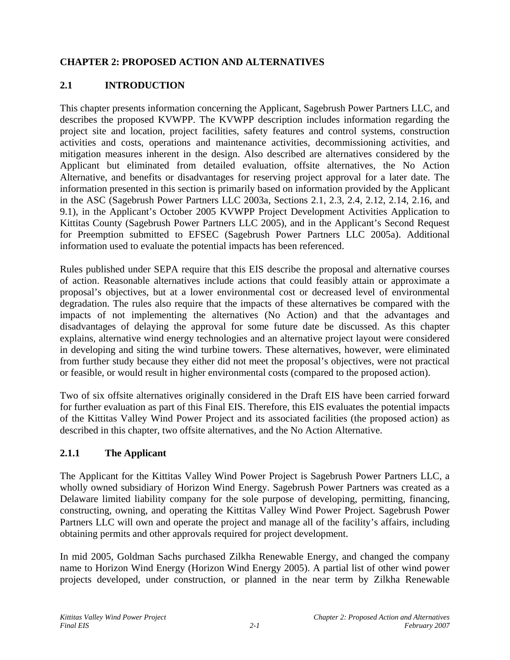## **CHAPTER 2: PROPOSED ACTION AND ALTERNATIVES**

# **2.1 INTRODUCTION**

This chapter presents information concerning the Applicant, Sagebrush Power Partners LLC, and describes the proposed KVWPP. The KVWPP description includes information regarding the project site and location, project facilities, safety features and control systems, construction activities and costs, operations and maintenance activities, decommissioning activities, and mitigation measures inherent in the design. Also described are alternatives considered by the Applicant but eliminated from detailed evaluation, offsite alternatives, the No Action Alternative, and benefits or disadvantages for reserving project approval for a later date. The information presented in this section is primarily based on information provided by the Applicant in the ASC (Sagebrush Power Partners LLC 2003a, Sections 2.1, 2.3, 2.4, 2.12, 2.14, 2.16, and 9.1), in the Applicant's October 2005 KVWPP Project Development Activities Application to Kittitas County (Sagebrush Power Partners LLC 2005), and in the Applicant's Second Request for Preemption submitted to EFSEC (Sagebrush Power Partners LLC 2005a). Additional information used to evaluate the potential impacts has been referenced.

Rules published under SEPA require that this EIS describe the proposal and alternative courses of action. Reasonable alternatives include actions that could feasibly attain or approximate a proposal's objectives, but at a lower environmental cost or decreased level of environmental degradation. The rules also require that the impacts of these alternatives be compared with the impacts of not implementing the alternatives (No Action) and that the advantages and disadvantages of delaying the approval for some future date be discussed. As this chapter explains, alternative wind energy technologies and an alternative project layout were considered in developing and siting the wind turbine towers. These alternatives, however, were eliminated from further study because they either did not meet the proposal's objectives, were not practical or feasible, or would result in higher environmental costs (compared to the proposed action).

Two of six offsite alternatives originally considered in the Draft EIS have been carried forward for further evaluation as part of this Final EIS. Therefore, this EIS evaluates the potential impacts of the Kittitas Valley Wind Power Project and its associated facilities (the proposed action) as described in this chapter, two offsite alternatives, and the No Action Alternative.

## **2.1.1 The Applicant**

The Applicant for the Kittitas Valley Wind Power Project is Sagebrush Power Partners LLC, a wholly owned subsidiary of Horizon Wind Energy. Sagebrush Power Partners was created as a Delaware limited liability company for the sole purpose of developing, permitting, financing, constructing, owning, and operating the Kittitas Valley Wind Power Project. Sagebrush Power Partners LLC will own and operate the project and manage all of the facility's affairs, including obtaining permits and other approvals required for project development.

In mid 2005, Goldman Sachs purchased Zilkha Renewable Energy, and changed the company name to Horizon Wind Energy (Horizon Wind Energy 2005). A partial list of other wind power projects developed, under construction, or planned in the near term by Zilkha Renewable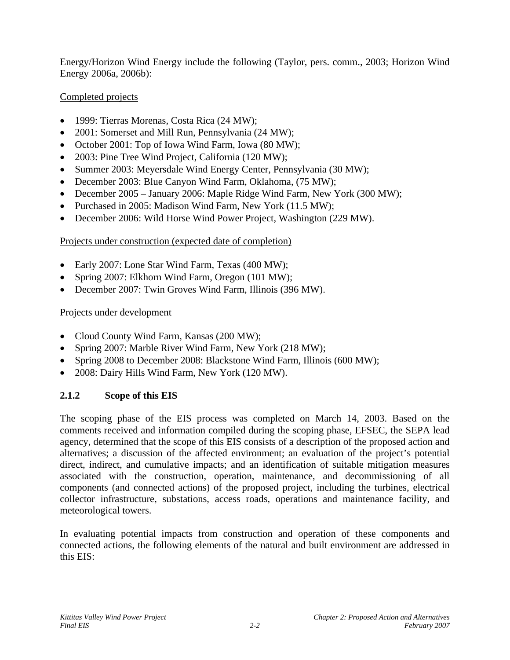Energy/Horizon Wind Energy include the following (Taylor, pers. comm., 2003; Horizon Wind Energy 2006a, 2006b):

## Completed projects

- 1999: Tierras Morenas, Costa Rica (24 MW);
- 2001: Somerset and Mill Run, Pennsylvania (24 MW);
- October 2001: Top of Iowa Wind Farm, Iowa (80 MW);
- 2003: Pine Tree Wind Project, California (120 MW);
- Summer 2003: Meyersdale Wind Energy Center, Pennsylvania (30 MW);
- December 2003: Blue Canyon Wind Farm, Oklahoma, (75 MW);
- December 2005 January 2006: Maple Ridge Wind Farm, New York (300 MW);
- Purchased in 2005: Madison Wind Farm, New York (11.5 MW);
- December 2006: Wild Horse Wind Power Project, Washington (229 MW).

## Projects under construction (expected date of completion)

- Early 2007: Lone Star Wind Farm, Texas (400 MW);
- Spring 2007: Elkhorn Wind Farm, Oregon (101 MW);
- December 2007: Twin Groves Wind Farm, Illinois (396 MW).

## Projects under development

- Cloud County Wind Farm, Kansas (200 MW);
- Spring 2007: Marble River Wind Farm, New York (218 MW);
- Spring 2008 to December 2008: Blackstone Wind Farm, Illinois (600 MW);
- 2008: Dairy Hills Wind Farm, New York (120 MW).

# **2.1.2 Scope of this EIS**

The scoping phase of the EIS process was completed on March 14, 2003. Based on the comments received and information compiled during the scoping phase, EFSEC, the SEPA lead agency, determined that the scope of this EIS consists of a description of the proposed action and alternatives; a discussion of the affected environment; an evaluation of the project's potential direct, indirect, and cumulative impacts; and an identification of suitable mitigation measures associated with the construction, operation, maintenance, and decommissioning of all components (and connected actions) of the proposed project, including the turbines, electrical collector infrastructure, substations, access roads, operations and maintenance facility, and meteorological towers.

In evaluating potential impacts from construction and operation of these components and connected actions, the following elements of the natural and built environment are addressed in this EIS: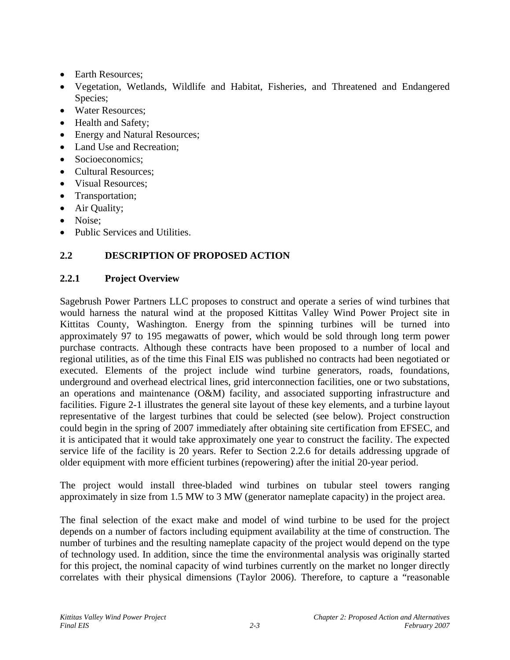- Earth Resources:
- Vegetation, Wetlands, Wildlife and Habitat, Fisheries, and Threatened and Endangered Species;
- Water Resources;
- Health and Safety;
- Energy and Natural Resources;
- Land Use and Recreation;
- Socioeconomics:
- Cultural Resources:
- Visual Resources;
- Transportation;
- Air Quality;
- Noise:
- Public Services and Utilities.

# **2.2 DESCRIPTION OF PROPOSED ACTION**

## **2.2.1 Project Overview**

Sagebrush Power Partners LLC proposes to construct and operate a series of wind turbines that would harness the natural wind at the proposed Kittitas Valley Wind Power Project site in Kittitas County, Washington. Energy from the spinning turbines will be turned into approximately 97 to 195 megawatts of power, which would be sold through long term power purchase contracts. Although these contracts have been proposed to a number of local and regional utilities, as of the time this Final EIS was published no contracts had been negotiated or executed. Elements of the project include wind turbine generators, roads, foundations, underground and overhead electrical lines, grid interconnection facilities, one or two substations, an operations and maintenance (O&M) facility, and associated supporting infrastructure and facilities. Figure 2-1 illustrates the general site layout of these key elements, and a turbine layout representative of the largest turbines that could be selected (see below). Project construction could begin in the spring of 2007 immediately after obtaining site certification from EFSEC, and it is anticipated that it would take approximately one year to construct the facility. The expected service life of the facility is 20 years. Refer to Section 2.2.6 for details addressing upgrade of older equipment with more efficient turbines (repowering) after the initial 20-year period.

The project would install three-bladed wind turbines on tubular steel towers ranging approximately in size from 1.5 MW to 3 MW (generator nameplate capacity) in the project area.

The final selection of the exact make and model of wind turbine to be used for the project depends on a number of factors including equipment availability at the time of construction. The number of turbines and the resulting nameplate capacity of the project would depend on the type of technology used. In addition, since the time the environmental analysis was originally started for this project, the nominal capacity of wind turbines currently on the market no longer directly correlates with their physical dimensions (Taylor 2006). Therefore, to capture a "reasonable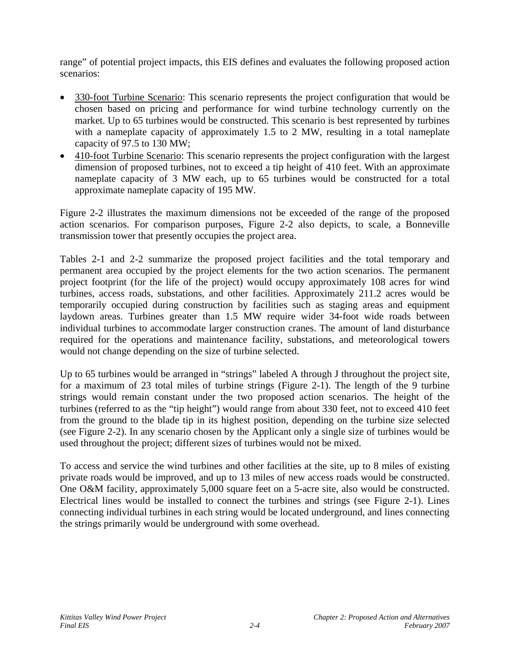range" of potential project impacts, this EIS defines and evaluates the following proposed action scenarios:

- 330-foot Turbine Scenario: This scenario represents the project configuration that would be chosen based on pricing and performance for wind turbine technology currently on the market. Up to 65 turbines would be constructed. This scenario is best represented by turbines with a nameplate capacity of approximately 1.5 to 2 MW, resulting in a total nameplate capacity of 97.5 to 130 MW;
- 410-foot Turbine Scenario: This scenario represents the project configuration with the largest dimension of proposed turbines, not to exceed a tip height of 410 feet. With an approximate nameplate capacity of 3 MW each, up to 65 turbines would be constructed for a total approximate nameplate capacity of 195 MW.

Figure 2-2 illustrates the maximum dimensions not be exceeded of the range of the proposed action scenarios. For comparison purposes, Figure 2-2 also depicts, to scale, a Bonneville transmission tower that presently occupies the project area.

Tables 2-1 and 2-2 summarize the proposed project facilities and the total temporary and permanent area occupied by the project elements for the two action scenarios. The permanent project footprint (for the life of the project) would occupy approximately 108 acres for wind turbines, access roads, substations, and other facilities. Approximately 211.2 acres would be temporarily occupied during construction by facilities such as staging areas and equipment laydown areas. Turbines greater than 1.5 MW require wider 34-foot wide roads between individual turbines to accommodate larger construction cranes. The amount of land disturbance required for the operations and maintenance facility, substations, and meteorological towers would not change depending on the size of turbine selected.

Up to 65 turbines would be arranged in "strings" labeled A through J throughout the project site, for a maximum of 23 total miles of turbine strings (Figure 2-1). The length of the 9 turbine strings would remain constant under the two proposed action scenarios. The height of the turbines (referred to as the "tip height") would range from about 330 feet, not to exceed 410 feet from the ground to the blade tip in its highest position, depending on the turbine size selected (see Figure 2-2). In any scenario chosen by the Applicant only a single size of turbines would be used throughout the project; different sizes of turbines would not be mixed.

To access and service the wind turbines and other facilities at the site, up to 8 miles of existing private roads would be improved, and up to 13 miles of new access roads would be constructed. One O&M facility, approximately 5,000 square feet on a 5-acre site, also would be constructed. Electrical lines would be installed to connect the turbines and strings (see Figure 2-1). Lines connecting individual turbines in each string would be located underground, and lines connecting the strings primarily would be underground with some overhead.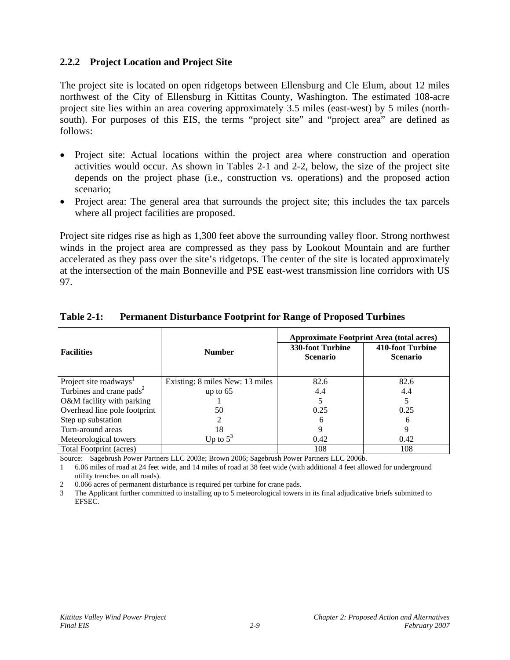## **2.2.2 Project Location and Project Site**

The project site is located on open ridgetops between Ellensburg and Cle Elum, about 12 miles northwest of the City of Ellensburg in Kittitas County, Washington. The estimated 108-acre project site lies within an area covering approximately 3.5 miles (east-west) by 5 miles (northsouth). For purposes of this EIS, the terms "project site" and "project area" are defined as follows:

- Project site: Actual locations within the project area where construction and operation activities would occur. As shown in Tables 2-1 and 2-2, below, the size of the project site depends on the project phase (i.e., construction vs. operations) and the proposed action scenario;
- Project area: The general area that surrounds the project site; this includes the tax parcels where all project facilities are proposed.

Project site ridges rise as high as 1,300 feet above the surrounding valley floor. Strong northwest winds in the project area are compressed as they pass by Lookout Mountain and are further accelerated as they pass over the site's ridgetops. The center of the site is located approximately at the intersection of the main Bonneville and PSE east-west transmission line corridors with US 97.

|                                      |                                 | <b>Approximate Footprint Area (total acres)</b> |                                     |  |
|--------------------------------------|---------------------------------|-------------------------------------------------|-------------------------------------|--|
| <b>Facilities</b>                    | <b>Number</b>                   | 330-foot Turbine<br><b>Scenario</b>             | 410-foot Turbine<br><b>Scenario</b> |  |
| Project site roadways <sup>1</sup>   | Existing: 8 miles New: 13 miles | 82.6                                            | 82.6                                |  |
| Turbines and crane pads <sup>2</sup> | up to $65$                      | 4.4                                             | 4.4                                 |  |
| O&M facility with parking            |                                 |                                                 |                                     |  |
| Overhead line pole footprint         | 50                              | 0.25                                            | 0.25                                |  |
| Step up substation                   |                                 | 6                                               | 6                                   |  |
| Turn-around areas                    | 18                              | 9                                               | 9                                   |  |
| Meteorological towers                | Up to $5^3$                     | 0.42                                            | 0.42                                |  |
| Total Footprint (acres)              |                                 | 108                                             | 108                                 |  |

#### **Table 2-1: Permanent Disturbance Footprint for Range of Proposed Turbines**

Source: Sagebrush Power Partners LLC 2003e; Brown 2006; Sagebrush Power Partners LLC 2006b.

1 6.06 miles of road at 24 feet wide, and 14 miles of road at 38 feet wide (with additional 4 feet allowed for underground utility trenches on all roads).

2 0.066 acres of permanent disturbance is required per turbine for crane pads.

3 The Applicant further committed to installing up to 5 meteorological towers in its final adjudicative briefs submitted to EFSEC.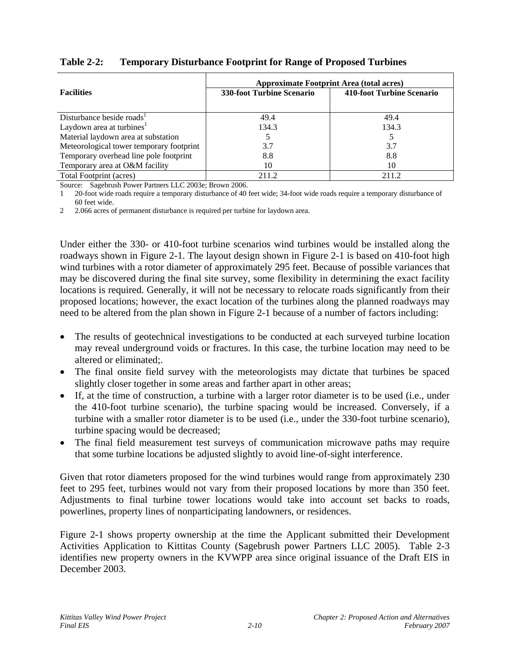|                                          | <b>Approximate Footprint Area (total acres)</b> |                           |  |  |
|------------------------------------------|-------------------------------------------------|---------------------------|--|--|
| <b>Facilities</b>                        | <b>330-foot Turbine Scenario</b>                | 410-foot Turbine Scenario |  |  |
|                                          |                                                 |                           |  |  |
| Disturbance beside roads <sup>1</sup>    | 49.4                                            | 49.4                      |  |  |
| Laydown area at turbines <sup>1</sup>    | 134.3                                           | 134.3                     |  |  |
| Material laydown area at substation      |                                                 |                           |  |  |
| Meteorological tower temporary footprint | 3.7                                             | 3.7                       |  |  |
| Temporary overhead line pole footprint   | 8.8                                             | 8.8                       |  |  |
| Temporary area at O&M facility           | 10                                              | 10                        |  |  |
| Total Footprint (acres)                  | 211.2                                           | 211.2                     |  |  |

## **Table 2-2: Temporary Disturbance Footprint for Range of Proposed Turbines**

Source: Sagebrush Power Partners LLC 2003e; Brown 2006.

1 20-foot wide roads require a temporary disturbance of 40 feet wide; 34-foot wide roads require a temporary disturbance of 60 feet wide.

2 2.066 acres of permanent disturbance is required per turbine for laydown area.

Under either the 330- or 410-foot turbine scenarios wind turbines would be installed along the roadways shown in Figure 2-1. The layout design shown in Figure 2-1 is based on 410-foot high wind turbines with a rotor diameter of approximately 295 feet. Because of possible variances that may be discovered during the final site survey, some flexibility in determining the exact facility locations is required. Generally, it will not be necessary to relocate roads significantly from their proposed locations; however, the exact location of the turbines along the planned roadways may need to be altered from the plan shown in Figure 2-1 because of a number of factors including:

- The results of geotechnical investigations to be conducted at each surveyed turbine location may reveal underground voids or fractures. In this case, the turbine location may need to be altered or eliminated;.
- The final onsite field survey with the meteorologists may dictate that turbines be spaced slightly closer together in some areas and farther apart in other areas;
- If, at the time of construction, a turbine with a larger rotor diameter is to be used (i.e., under the 410-foot turbine scenario), the turbine spacing would be increased. Conversely, if a turbine with a smaller rotor diameter is to be used (i.e., under the 330-foot turbine scenario), turbine spacing would be decreased;
- The final field measurement test surveys of communication microwave paths may require that some turbine locations be adjusted slightly to avoid line-of-sight interference.

Given that rotor diameters proposed for the wind turbines would range from approximately 230 feet to 295 feet, turbines would not vary from their proposed locations by more than 350 feet. Adjustments to final turbine tower locations would take into account set backs to roads, powerlines, property lines of nonparticipating landowners, or residences.

Figure 2-1 shows property ownership at the time the Applicant submitted their Development Activities Application to Kittitas County (Sagebrush power Partners LLC 2005). Table 2-3 identifies new property owners in the KVWPP area since original issuance of the Draft EIS in December 2003.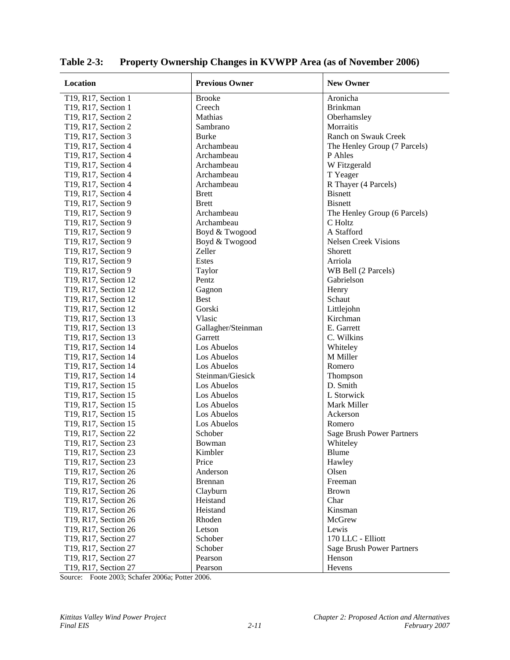| Location             | <b>Previous Owner</b> | <b>New Owner</b>                 |
|----------------------|-----------------------|----------------------------------|
| T19, R17, Section 1  | <b>Brooke</b>         | Aronicha                         |
| T19, R17, Section 1  | Creech                | <b>Brinkman</b>                  |
| T19, R17, Section 2  | Mathias               | Oberhamsley                      |
| T19, R17, Section 2  | Sambrano              | Morraitis                        |
| T19, R17, Section 3  | <b>Burke</b>          | <b>Ranch on Swauk Creek</b>      |
| T19, R17, Section 4  | Archambeau            | The Henley Group (7 Parcels)     |
| T19, R17, Section 4  | Archambeau            | P Ahles                          |
| T19, R17, Section 4  | Archambeau            | W Fitzgerald                     |
| T19, R17, Section 4  | Archambeau            | T Yeager                         |
| T19, R17, Section 4  | Archambeau            | R Thayer (4 Parcels)             |
| T19, R17, Section 4  | <b>Brett</b>          | <b>Bisnett</b>                   |
| T19, R17, Section 9  | <b>Brett</b>          | <b>Bisnett</b>                   |
| T19, R17, Section 9  | Archambeau            | The Henley Group (6 Parcels)     |
| T19, R17, Section 9  | Archambeau            | C Holtz                          |
| T19, R17, Section 9  | Boyd & Twogood        | A Stafford                       |
| T19, R17, Section 9  | Boyd & Twogood        | <b>Nelsen Creek Visions</b>      |
| T19, R17, Section 9  | Zeller                | Shorett                          |
| T19, R17, Section 9  | <b>Estes</b>          | Arriola                          |
| T19, R17, Section 9  | Taylor                | WB Bell (2 Parcels)              |
| T19, R17, Section 12 | Pentz                 | Gabrielson                       |
|                      |                       |                                  |
| T19, R17, Section 12 | Gagnon                | Henry                            |
| T19, R17, Section 12 | <b>Best</b>           | Schaut                           |
| T19, R17, Section 12 | Gorski                | Littlejohn                       |
| T19, R17, Section 13 | Vlasic                | Kirchman                         |
| T19, R17, Section 13 | Gallagher/Steinman    | E. Garrett                       |
| T19, R17, Section 13 | Garrett               | C. Wilkins                       |
| T19, R17, Section 14 | Los Abuelos           | Whiteley                         |
| T19, R17, Section 14 | Los Abuelos           | M Miller                         |
| T19, R17, Section 14 | Los Abuelos           | Romero                           |
| T19, R17, Section 14 | Steinman/Giesick      | Thompson                         |
| T19, R17, Section 15 | Los Abuelos           | D. Smith                         |
| T19, R17, Section 15 | Los Abuelos           | L Storwick                       |
| T19, R17, Section 15 | Los Abuelos           | Mark Miller                      |
| T19, R17, Section 15 | Los Abuelos           | Ackerson                         |
| T19, R17, Section 15 | Los Abuelos           | Romero                           |
| T19, R17, Section 22 | Schober               | <b>Sage Brush Power Partners</b> |
| T19, R17, Section 23 | Bowman                | Whiteley                         |
| T19, R17, Section 23 | Kimbler               | Blume                            |
| T19, R17, Section 23 | Price                 | Hawley                           |
| T19, R17, Section 26 | Anderson              | Olsen                            |
| T19, R17, Section 26 | <b>Brennan</b>        | Freeman                          |
| T19, R17, Section 26 | Clayburn              | <b>Brown</b>                     |
| T19, R17, Section 26 | Heistand              | Char                             |
| T19, R17, Section 26 | Heistand              | Kinsman                          |
| T19, R17, Section 26 | Rhoden                | McGrew                           |
| T19, R17, Section 26 | Letson                | Lewis                            |
| T19, R17, Section 27 | Schober               | 170 LLC - Elliott                |
| T19, R17, Section 27 | Schober               | <b>Sage Brush Power Partners</b> |
| T19, R17, Section 27 | Pearson               | Henson                           |
| T19, R17, Section 27 | Pearson               | Hevens                           |

**Table 2-3: Property Ownership Changes in KVWPP Area (as of November 2006)** 

Source: Foote 2003; Schafer 2006a; Potter 2006.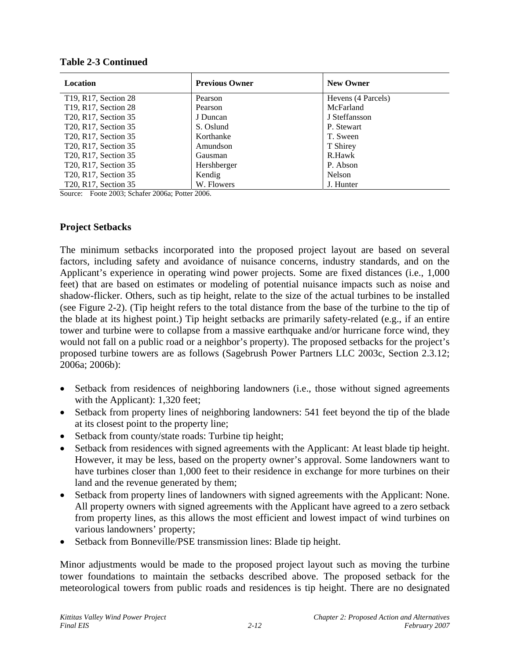| <b>Location</b>                                | <b>Previous Owner</b> | <b>New Owner</b>   |
|------------------------------------------------|-----------------------|--------------------|
| T <sub>19</sub> , R <sub>17</sub> , Section 28 | Pearson               | Hevens (4 Parcels) |
| T <sub>19</sub> , R <sub>17</sub> , Section 28 | Pearson               | McFarland          |
| T20, R17, Section 35                           | J Duncan              | J Steffansson      |
| T20, R17, Section 35                           | S. Oslund             | P. Stewart         |
| T20, R17, Section 35                           | Korthanke             | T. Sween           |
| T20, R17, Section 35                           | Amundson              | T Shirey           |
| T20, R17, Section 35                           | Gausman               | R.Hawk             |
| T <sub>20</sub> , R <sub>17</sub> , Section 35 | Hershberger           | P. Abson           |
| T20, R17, Section 35                           | Kendig                | Nelson             |
| T20, R17, Section 35                           | W. Flowers            | J. Hunter          |

#### **Table 2-3 Continued**

Source: Foote 2003; Schafer 2006a; Potter 2006.

#### **Project Setbacks**

The minimum setbacks incorporated into the proposed project layout are based on several factors, including safety and avoidance of nuisance concerns, industry standards, and on the Applicant's experience in operating wind power projects. Some are fixed distances (i.e., 1,000 feet) that are based on estimates or modeling of potential nuisance impacts such as noise and shadow-flicker. Others, such as tip height, relate to the size of the actual turbines to be installed (see Figure 2-2). (Tip height refers to the total distance from the base of the turbine to the tip of the blade at its highest point.) Tip height setbacks are primarily safety-related (e.g., if an entire tower and turbine were to collapse from a massive earthquake and/or hurricane force wind, they would not fall on a public road or a neighbor's property). The proposed setbacks for the project's proposed turbine towers are as follows (Sagebrush Power Partners LLC 2003c, Section 2.3.12; 2006a; 2006b):

- Setback from residences of neighboring landowners (i.e., those without signed agreements with the Applicant): 1,320 feet;
- Setback from property lines of neighboring landowners: 541 feet beyond the tip of the blade at its closest point to the property line;
- Setback from county/state roads: Turbine tip height;
- Setback from residences with signed agreements with the Applicant: At least blade tip height. However, it may be less, based on the property owner's approval. Some landowners want to have turbines closer than 1,000 feet to their residence in exchange for more turbines on their land and the revenue generated by them;
- Setback from property lines of landowners with signed agreements with the Applicant: None. All property owners with signed agreements with the Applicant have agreed to a zero setback from property lines, as this allows the most efficient and lowest impact of wind turbines on various landowners' property;
- Setback from Bonneville/PSE transmission lines: Blade tip height.

Minor adjustments would be made to the proposed project layout such as moving the turbine tower foundations to maintain the setbacks described above. The proposed setback for the meteorological towers from public roads and residences is tip height. There are no designated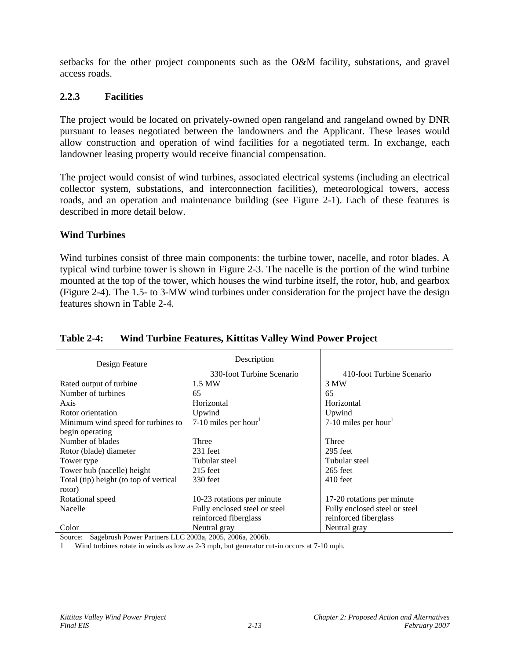setbacks for the other project components such as the O&M facility, substations, and gravel access roads.

## **2.2.3 Facilities**

The project would be located on privately-owned open rangeland and rangeland owned by DNR pursuant to leases negotiated between the landowners and the Applicant. These leases would allow construction and operation of wind facilities for a negotiated term. In exchange, each landowner leasing property would receive financial compensation.

The project would consist of wind turbines, associated electrical systems (including an electrical collector system, substations, and interconnection facilities), meteorological towers, access roads, and an operation and maintenance building (see Figure 2-1). Each of these features is described in more detail below.

## **Wind Turbines**

Wind turbines consist of three main components: the turbine tower, nacelle, and rotor blades. A typical wind turbine tower is shown in Figure 2-3. The nacelle is the portion of the wind turbine mounted at the top of the tower, which houses the wind turbine itself, the rotor, hub, and gearbox (Figure 2-4). The 1.5- to 3-MW wind turbines under consideration for the project have the design features shown in Table 2-4.

| Design Feature                         | Description                   |                                  |
|----------------------------------------|-------------------------------|----------------------------------|
|                                        | 330-foot Turbine Scenario     | 410-foot Turbine Scenario        |
| Rated output of turbine                | 1.5 MW                        | 3 MW                             |
| Number of turbines                     | 65                            | 65                               |
| Axis                                   | Horizontal                    | Horizontal                       |
| Rotor orientation                      | Upwind                        | Upwind                           |
| Minimum wind speed for turbines to     | 7-10 miles per hour           | 7-10 miles per hour <sup>1</sup> |
| begin operating                        |                               |                                  |
| Number of blades                       | Three                         | Three                            |
| Rotor (blade) diameter                 | $231$ feet                    | $295$ feet                       |
| Tower type                             | Tubular steel                 | Tubular steel                    |
| Tower hub (nacelle) height             | $215$ feet                    | $265$ feet                       |
| Total (tip) height (to top of vertical | 330 feet                      | $410$ feet                       |
| rotor)                                 |                               |                                  |
| Rotational speed                       | 10-23 rotations per minute    | 17-20 rotations per minute       |
| <b>Nacelle</b>                         | Fully enclosed steel or steel | Fully enclosed steel or steel    |
|                                        | reinforced fiberglass         | reinforced fiberglass            |
| Color                                  | Neutral gray                  | Neutral gray                     |

## **Table 2-4: Wind Turbine Features, Kittitas Valley Wind Power Project**

Source: Sagebrush Power Partners LLC 2003a, 2005, 2006a, 2006b.

Wind turbines rotate in winds as low as 2-3 mph, but generator cut-in occurs at 7-10 mph.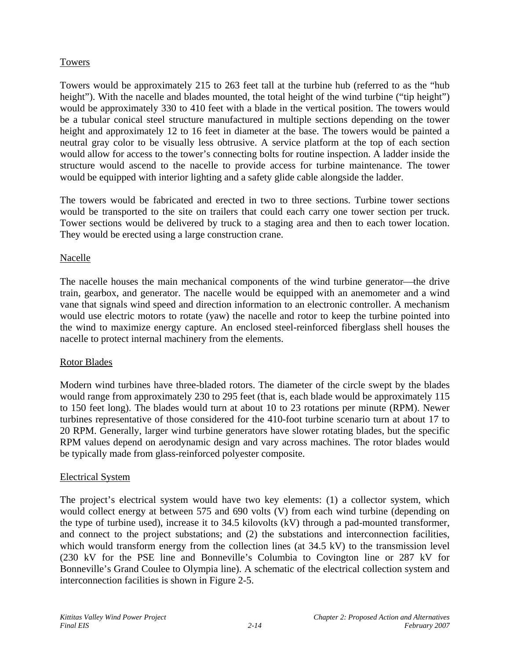## Towers

Towers would be approximately 215 to 263 feet tall at the turbine hub (referred to as the "hub height"). With the nacelle and blades mounted, the total height of the wind turbine ("tip height") would be approximately 330 to 410 feet with a blade in the vertical position. The towers would be a tubular conical steel structure manufactured in multiple sections depending on the tower height and approximately 12 to 16 feet in diameter at the base. The towers would be painted a neutral gray color to be visually less obtrusive. A service platform at the top of each section would allow for access to the tower's connecting bolts for routine inspection. A ladder inside the structure would ascend to the nacelle to provide access for turbine maintenance. The tower would be equipped with interior lighting and a safety glide cable alongside the ladder.

The towers would be fabricated and erected in two to three sections. Turbine tower sections would be transported to the site on trailers that could each carry one tower section per truck. Tower sections would be delivered by truck to a staging area and then to each tower location. They would be erected using a large construction crane.

#### Nacelle

The nacelle houses the main mechanical components of the wind turbine generator—the drive train, gearbox, and generator. The nacelle would be equipped with an anemometer and a wind vane that signals wind speed and direction information to an electronic controller. A mechanism would use electric motors to rotate (yaw) the nacelle and rotor to keep the turbine pointed into the wind to maximize energy capture. An enclosed steel-reinforced fiberglass shell houses the nacelle to protect internal machinery from the elements.

## Rotor Blades

Modern wind turbines have three-bladed rotors. The diameter of the circle swept by the blades would range from approximately 230 to 295 feet (that is, each blade would be approximately 115 to 150 feet long). The blades would turn at about 10 to 23 rotations per minute (RPM). Newer turbines representative of those considered for the 410-foot turbine scenario turn at about 17 to 20 RPM. Generally, larger wind turbine generators have slower rotating blades, but the specific RPM values depend on aerodynamic design and vary across machines. The rotor blades would be typically made from glass-reinforced polyester composite.

## Electrical System

The project's electrical system would have two key elements: (1) a collector system, which would collect energy at between 575 and 690 volts (V) from each wind turbine (depending on the type of turbine used), increase it to 34.5 kilovolts (kV) through a pad-mounted transformer, and connect to the project substations; and (2) the substations and interconnection facilities, which would transform energy from the collection lines (at  $34.5 \text{ kV}$ ) to the transmission level (230 kV for the PSE line and Bonneville's Columbia to Covington line or 287 kV for Bonneville's Grand Coulee to Olympia line). A schematic of the electrical collection system and interconnection facilities is shown in Figure 2-5.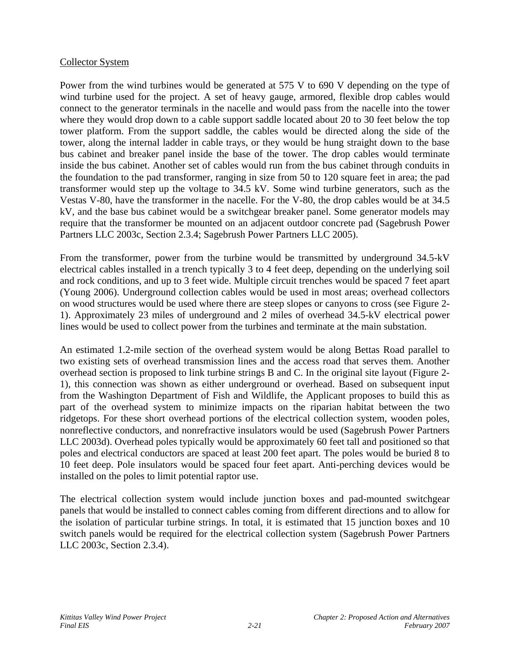#### Collector System

Power from the wind turbines would be generated at 575 V to 690 V depending on the type of wind turbine used for the project. A set of heavy gauge, armored, flexible drop cables would connect to the generator terminals in the nacelle and would pass from the nacelle into the tower where they would drop down to a cable support saddle located about 20 to 30 feet below the top tower platform. From the support saddle, the cables would be directed along the side of the tower, along the internal ladder in cable trays, or they would be hung straight down to the base bus cabinet and breaker panel inside the base of the tower. The drop cables would terminate inside the bus cabinet. Another set of cables would run from the bus cabinet through conduits in the foundation to the pad transformer, ranging in size from 50 to 120 square feet in area; the pad transformer would step up the voltage to 34.5 kV. Some wind turbine generators, such as the Vestas V-80, have the transformer in the nacelle. For the V-80, the drop cables would be at 34.5 kV, and the base bus cabinet would be a switchgear breaker panel. Some generator models may require that the transformer be mounted on an adjacent outdoor concrete pad (Sagebrush Power Partners LLC 2003c, Section 2.3.4; Sagebrush Power Partners LLC 2005).

From the transformer, power from the turbine would be transmitted by underground 34.5-kV electrical cables installed in a trench typically 3 to 4 feet deep, depending on the underlying soil and rock conditions, and up to 3 feet wide. Multiple circuit trenches would be spaced 7 feet apart (Young 2006). Underground collection cables would be used in most areas; overhead collectors on wood structures would be used where there are steep slopes or canyons to cross (see Figure 2- 1). Approximately 23 miles of underground and 2 miles of overhead 34.5-kV electrical power lines would be used to collect power from the turbines and terminate at the main substation.

An estimated 1.2-mile section of the overhead system would be along Bettas Road parallel to two existing sets of overhead transmission lines and the access road that serves them. Another overhead section is proposed to link turbine strings B and C. In the original site layout (Figure 2- 1), this connection was shown as either underground or overhead. Based on subsequent input from the Washington Department of Fish and Wildlife, the Applicant proposes to build this as part of the overhead system to minimize impacts on the riparian habitat between the two ridgetops. For these short overhead portions of the electrical collection system, wooden poles, nonreflective conductors, and nonrefractive insulators would be used (Sagebrush Power Partners LLC 2003d). Overhead poles typically would be approximately 60 feet tall and positioned so that poles and electrical conductors are spaced at least 200 feet apart. The poles would be buried 8 to 10 feet deep. Pole insulators would be spaced four feet apart. Anti-perching devices would be installed on the poles to limit potential raptor use.

The electrical collection system would include junction boxes and pad-mounted switchgear panels that would be installed to connect cables coming from different directions and to allow for the isolation of particular turbine strings. In total, it is estimated that 15 junction boxes and 10 switch panels would be required for the electrical collection system (Sagebrush Power Partners LLC 2003c, Section 2.3.4).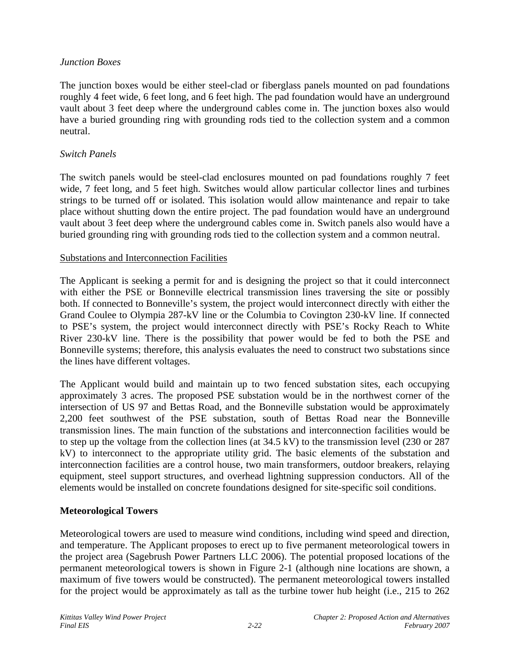### *Junction Boxes*

The junction boxes would be either steel-clad or fiberglass panels mounted on pad foundations roughly 4 feet wide, 6 feet long, and 6 feet high. The pad foundation would have an underground vault about 3 feet deep where the underground cables come in. The junction boxes also would have a buried grounding ring with grounding rods tied to the collection system and a common neutral.

#### *Switch Panels*

The switch panels would be steel-clad enclosures mounted on pad foundations roughly 7 feet wide, 7 feet long, and 5 feet high. Switches would allow particular collector lines and turbines strings to be turned off or isolated. This isolation would allow maintenance and repair to take place without shutting down the entire project. The pad foundation would have an underground vault about 3 feet deep where the underground cables come in. Switch panels also would have a buried grounding ring with grounding rods tied to the collection system and a common neutral.

#### Substations and Interconnection Facilities

The Applicant is seeking a permit for and is designing the project so that it could interconnect with either the PSE or Bonneville electrical transmission lines traversing the site or possibly both. If connected to Bonneville's system, the project would interconnect directly with either the Grand Coulee to Olympia 287-kV line or the Columbia to Covington 230-kV line. If connected to PSE's system, the project would interconnect directly with PSE's Rocky Reach to White River 230-kV line. There is the possibility that power would be fed to both the PSE and Bonneville systems; therefore, this analysis evaluates the need to construct two substations since the lines have different voltages.

The Applicant would build and maintain up to two fenced substation sites, each occupying approximately 3 acres. The proposed PSE substation would be in the northwest corner of the intersection of US 97 and Bettas Road, and the Bonneville substation would be approximately 2,200 feet southwest of the PSE substation, south of Bettas Road near the Bonneville transmission lines. The main function of the substations and interconnection facilities would be to step up the voltage from the collection lines (at 34.5 kV) to the transmission level (230 or 287 kV) to interconnect to the appropriate utility grid. The basic elements of the substation and interconnection facilities are a control house, two main transformers, outdoor breakers, relaying equipment, steel support structures, and overhead lightning suppression conductors. All of the elements would be installed on concrete foundations designed for site-specific soil conditions.

## **Meteorological Towers**

Meteorological towers are used to measure wind conditions, including wind speed and direction, and temperature. The Applicant proposes to erect up to five permanent meteorological towers in the project area (Sagebrush Power Partners LLC 2006). The potential proposed locations of the permanent meteorological towers is shown in Figure 2-1 (although nine locations are shown, a maximum of five towers would be constructed). The permanent meteorological towers installed for the project would be approximately as tall as the turbine tower hub height (i.e., 215 to 262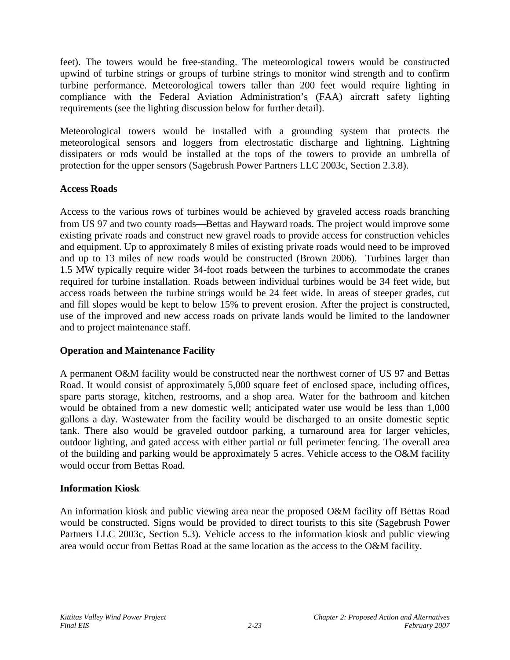feet). The towers would be free-standing. The meteorological towers would be constructed upwind of turbine strings or groups of turbine strings to monitor wind strength and to confirm turbine performance. Meteorological towers taller than 200 feet would require lighting in compliance with the Federal Aviation Administration's (FAA) aircraft safety lighting requirements (see the lighting discussion below for further detail).

Meteorological towers would be installed with a grounding system that protects the meteorological sensors and loggers from electrostatic discharge and lightning. Lightning dissipaters or rods would be installed at the tops of the towers to provide an umbrella of protection for the upper sensors (Sagebrush Power Partners LLC 2003c, Section 2.3.8).

## **Access Roads**

Access to the various rows of turbines would be achieved by graveled access roads branching from US 97 and two county roads—Bettas and Hayward roads. The project would improve some existing private roads and construct new gravel roads to provide access for construction vehicles and equipment. Up to approximately 8 miles of existing private roads would need to be improved and up to 13 miles of new roads would be constructed (Brown 2006). Turbines larger than 1.5 MW typically require wider 34-foot roads between the turbines to accommodate the cranes required for turbine installation. Roads between individual turbines would be 34 feet wide, but access roads between the turbine strings would be 24 feet wide. In areas of steeper grades, cut and fill slopes would be kept to below 15% to prevent erosion. After the project is constructed, use of the improved and new access roads on private lands would be limited to the landowner and to project maintenance staff.

## **Operation and Maintenance Facility**

A permanent O&M facility would be constructed near the northwest corner of US 97 and Bettas Road. It would consist of approximately 5,000 square feet of enclosed space, including offices, spare parts storage, kitchen, restrooms, and a shop area. Water for the bathroom and kitchen would be obtained from a new domestic well; anticipated water use would be less than 1,000 gallons a day. Wastewater from the facility would be discharged to an onsite domestic septic tank. There also would be graveled outdoor parking, a turnaround area for larger vehicles, outdoor lighting, and gated access with either partial or full perimeter fencing. The overall area of the building and parking would be approximately 5 acres. Vehicle access to the O&M facility would occur from Bettas Road.

## **Information Kiosk**

An information kiosk and public viewing area near the proposed O&M facility off Bettas Road would be constructed. Signs would be provided to direct tourists to this site (Sagebrush Power Partners LLC 2003c, Section 5.3). Vehicle access to the information kiosk and public viewing area would occur from Bettas Road at the same location as the access to the O&M facility.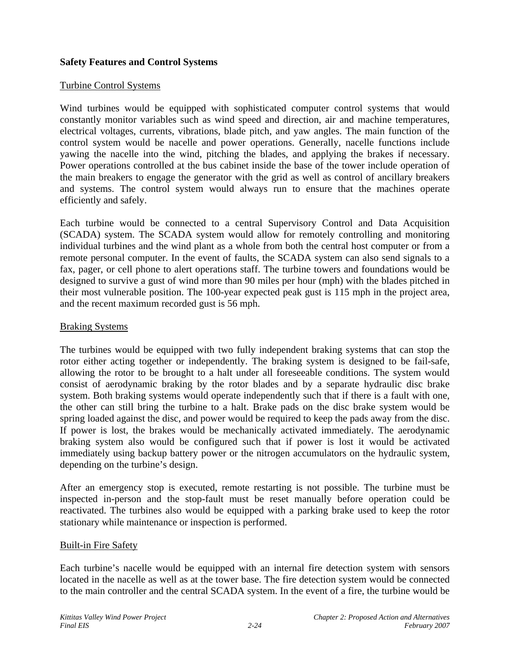### **Safety Features and Control Systems**

#### Turbine Control Systems

Wind turbines would be equipped with sophisticated computer control systems that would constantly monitor variables such as wind speed and direction, air and machine temperatures, electrical voltages, currents, vibrations, blade pitch, and yaw angles. The main function of the control system would be nacelle and power operations. Generally, nacelle functions include yawing the nacelle into the wind, pitching the blades, and applying the brakes if necessary. Power operations controlled at the bus cabinet inside the base of the tower include operation of the main breakers to engage the generator with the grid as well as control of ancillary breakers and systems. The control system would always run to ensure that the machines operate efficiently and safely.

Each turbine would be connected to a central Supervisory Control and Data Acquisition (SCADA) system. The SCADA system would allow for remotely controlling and monitoring individual turbines and the wind plant as a whole from both the central host computer or from a remote personal computer. In the event of faults, the SCADA system can also send signals to a fax, pager, or cell phone to alert operations staff. The turbine towers and foundations would be designed to survive a gust of wind more than 90 miles per hour (mph) with the blades pitched in their most vulnerable position. The 100-year expected peak gust is 115 mph in the project area, and the recent maximum recorded gust is 56 mph.

#### Braking Systems

The turbines would be equipped with two fully independent braking systems that can stop the rotor either acting together or independently. The braking system is designed to be fail-safe, allowing the rotor to be brought to a halt under all foreseeable conditions. The system would consist of aerodynamic braking by the rotor blades and by a separate hydraulic disc brake system. Both braking systems would operate independently such that if there is a fault with one, the other can still bring the turbine to a halt. Brake pads on the disc brake system would be spring loaded against the disc, and power would be required to keep the pads away from the disc. If power is lost, the brakes would be mechanically activated immediately. The aerodynamic braking system also would be configured such that if power is lost it would be activated immediately using backup battery power or the nitrogen accumulators on the hydraulic system, depending on the turbine's design.

After an emergency stop is executed, remote restarting is not possible. The turbine must be inspected in-person and the stop-fault must be reset manually before operation could be reactivated. The turbines also would be equipped with a parking brake used to keep the rotor stationary while maintenance or inspection is performed.

#### Built-in Fire Safety

Each turbine's nacelle would be equipped with an internal fire detection system with sensors located in the nacelle as well as at the tower base. The fire detection system would be connected to the main controller and the central SCADA system. In the event of a fire, the turbine would be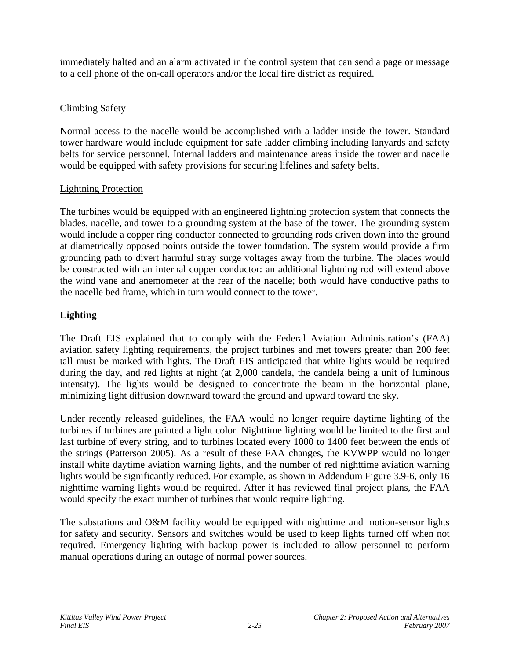immediately halted and an alarm activated in the control system that can send a page or message to a cell phone of the on-call operators and/or the local fire district as required.

## Climbing Safety

Normal access to the nacelle would be accomplished with a ladder inside the tower. Standard tower hardware would include equipment for safe ladder climbing including lanyards and safety belts for service personnel. Internal ladders and maintenance areas inside the tower and nacelle would be equipped with safety provisions for securing lifelines and safety belts.

## Lightning Protection

The turbines would be equipped with an engineered lightning protection system that connects the blades, nacelle, and tower to a grounding system at the base of the tower. The grounding system would include a copper ring conductor connected to grounding rods driven down into the ground at diametrically opposed points outside the tower foundation. The system would provide a firm grounding path to divert harmful stray surge voltages away from the turbine. The blades would be constructed with an internal copper conductor: an additional lightning rod will extend above the wind vane and anemometer at the rear of the nacelle; both would have conductive paths to the nacelle bed frame, which in turn would connect to the tower.

## **Lighting**

The Draft EIS explained that to comply with the Federal Aviation Administration's (FAA) aviation safety lighting requirements, the project turbines and met towers greater than 200 feet tall must be marked with lights. The Draft EIS anticipated that white lights would be required during the day, and red lights at night (at 2,000 candela, the candela being a unit of luminous intensity). The lights would be designed to concentrate the beam in the horizontal plane, minimizing light diffusion downward toward the ground and upward toward the sky.

Under recently released guidelines, the FAA would no longer require daytime lighting of the turbines if turbines are painted a light color. Nighttime lighting would be limited to the first and last turbine of every string, and to turbines located every 1000 to 1400 feet between the ends of the strings (Patterson 2005). As a result of these FAA changes, the KVWPP would no longer install white daytime aviation warning lights, and the number of red nighttime aviation warning lights would be significantly reduced. For example, as shown in Addendum Figure 3.9-6, only 16 nighttime warning lights would be required. After it has reviewed final project plans, the FAA would specify the exact number of turbines that would require lighting.

The substations and O&M facility would be equipped with nighttime and motion-sensor lights for safety and security. Sensors and switches would be used to keep lights turned off when not required. Emergency lighting with backup power is included to allow personnel to perform manual operations during an outage of normal power sources.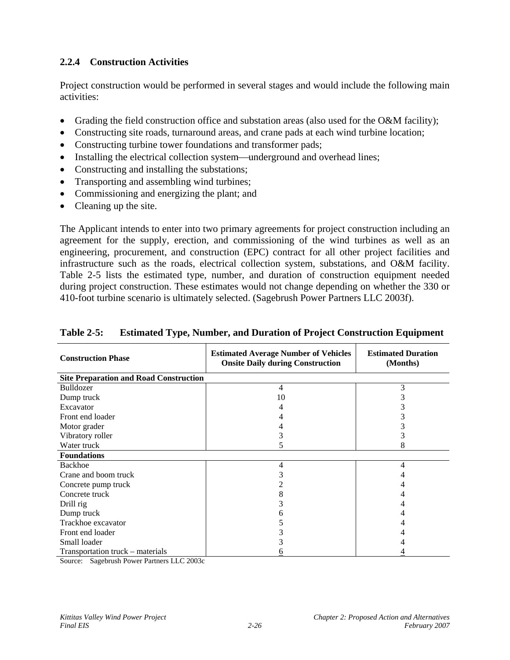## **2.2.4 Construction Activities**

Project construction would be performed in several stages and would include the following main activities:

- Grading the field construction office and substation areas (also used for the O&M facility);
- Constructing site roads, turnaround areas, and crane pads at each wind turbine location;
- Constructing turbine tower foundations and transformer pads;
- Installing the electrical collection system—underground and overhead lines;
- Constructing and installing the substations;
- Transporting and assembling wind turbines;
- Commissioning and energizing the plant; and
- Cleaning up the site.

The Applicant intends to enter into two primary agreements for project construction including an agreement for the supply, erection, and commissioning of the wind turbines as well as an engineering, procurement, and construction (EPC) contract for all other project facilities and infrastructure such as the roads, electrical collection system, substations, and O&M facility. Table 2-5 lists the estimated type, number, and duration of construction equipment needed during project construction. These estimates would not change depending on whether the 330 or 410-foot turbine scenario is ultimately selected. (Sagebrush Power Partners LLC 2003f).

| <b>Construction Phase</b>                     | <b>Estimated Average Number of Vehicles</b><br><b>Onsite Daily during Construction</b> | <b>Estimated Duration</b><br>(Months) |  |
|-----------------------------------------------|----------------------------------------------------------------------------------------|---------------------------------------|--|
| <b>Site Preparation and Road Construction</b> |                                                                                        |                                       |  |
| Bulldozer                                     | 4                                                                                      | 3                                     |  |
| Dump truck                                    | 10                                                                                     |                                       |  |
| Excavator                                     |                                                                                        |                                       |  |
| Front end loader                              |                                                                                        |                                       |  |
| Motor grader                                  |                                                                                        |                                       |  |
| Vibratory roller                              |                                                                                        |                                       |  |
| Water truck                                   |                                                                                        | 8                                     |  |
| <b>Foundations</b>                            |                                                                                        |                                       |  |
| Backhoe                                       | 4                                                                                      | 4                                     |  |
| Crane and boom truck                          |                                                                                        |                                       |  |
| Concrete pump truck                           |                                                                                        |                                       |  |
| Concrete truck                                | 8                                                                                      |                                       |  |
| Drill rig                                     |                                                                                        |                                       |  |
| Dump truck                                    |                                                                                        |                                       |  |
| Trackhoe excavator                            |                                                                                        |                                       |  |
| Front end loader                              |                                                                                        |                                       |  |
| Small loader                                  |                                                                                        |                                       |  |
| Transportation truck – materials              |                                                                                        |                                       |  |

## **Table 2-5: Estimated Type, Number, and Duration of Project Construction Equipment**

Source: Sagebrush Power Partners LLC 2003c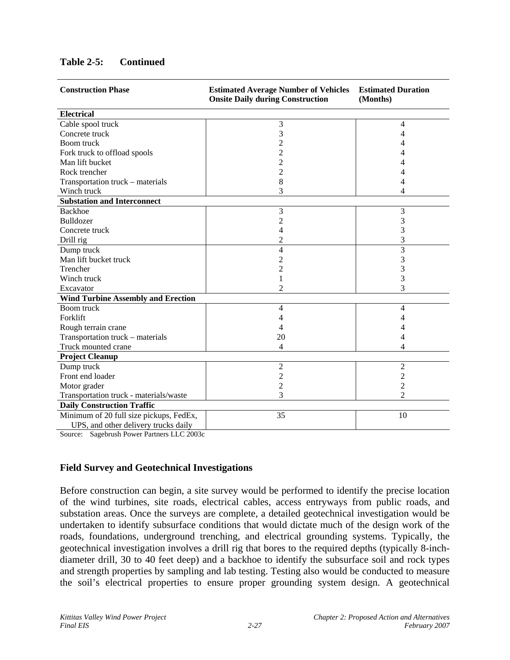| <b>Construction Phase</b>                                           | <b>Estimated Average Number of Vehicles</b><br><b>Onsite Daily during Construction</b> | <b>Estimated Duration</b><br>(Months) |  |
|---------------------------------------------------------------------|----------------------------------------------------------------------------------------|---------------------------------------|--|
| <b>Electrical</b>                                                   |                                                                                        |                                       |  |
| Cable spool truck                                                   | 3                                                                                      | 4                                     |  |
| Concrete truck                                                      | 3                                                                                      | 4                                     |  |
| Boom truck                                                          |                                                                                        | 4                                     |  |
| Fork truck to offload spools                                        |                                                                                        |                                       |  |
| Man lift bucket                                                     | 2                                                                                      |                                       |  |
| Rock trencher                                                       | 2                                                                                      |                                       |  |
| Transportation truck - materials                                    | 8                                                                                      |                                       |  |
| Winch truck                                                         | 3                                                                                      | 4                                     |  |
| <b>Substation and Interconnect</b>                                  |                                                                                        |                                       |  |
| <b>Backhoe</b>                                                      | 3                                                                                      | 3                                     |  |
| <b>Bulldozer</b>                                                    | $\overline{c}$                                                                         | 3                                     |  |
| Concrete truck                                                      | 4                                                                                      | 3                                     |  |
| Drill rig                                                           | 2                                                                                      | 3                                     |  |
| Dump truck                                                          | $\overline{4}$                                                                         | 3                                     |  |
| Man lift bucket truck                                               | 2                                                                                      | 3                                     |  |
| Trencher                                                            | 2                                                                                      | 3                                     |  |
| Winch truck                                                         | 1                                                                                      | 3                                     |  |
| Excavator                                                           | $\overline{c}$                                                                         | 3                                     |  |
| <b>Wind Turbine Assembly and Erection</b>                           |                                                                                        |                                       |  |
| Boom truck                                                          | 4                                                                                      | 4                                     |  |
| Forklift                                                            | 4                                                                                      |                                       |  |
| Rough terrain crane                                                 | 4                                                                                      |                                       |  |
| Transportation truck - materials                                    | 20                                                                                     |                                       |  |
| Truck mounted crane                                                 | 4                                                                                      | 4                                     |  |
| <b>Project Cleanup</b>                                              |                                                                                        |                                       |  |
| Dump truck                                                          | $\overline{2}$                                                                         | $\overline{2}$                        |  |
| Front end loader                                                    | 2                                                                                      | $\overline{c}$                        |  |
| Motor grader                                                        | $\overline{c}$                                                                         | $\overline{c}$                        |  |
| Transportation truck - materials/waste                              | 3                                                                                      | $\mathfrak{D}$                        |  |
| <b>Daily Construction Traffic</b>                                   |                                                                                        |                                       |  |
| Minimum of 20 full size pickups, FedEx,                             | 35                                                                                     | 10                                    |  |
| UPS, and other delivery trucks daily<br>$\mathbf{1}$<br>T T Q Q Q Q |                                                                                        |                                       |  |

## **Table 2-5: Continued**

Source: Sagebrush Power Partners LLC 2003c

#### **Field Survey and Geotechnical Investigations**

Before construction can begin, a site survey would be performed to identify the precise location of the wind turbines, site roads, electrical cables, access entryways from public roads, and substation areas. Once the surveys are complete, a detailed geotechnical investigation would be undertaken to identify subsurface conditions that would dictate much of the design work of the roads, foundations, underground trenching, and electrical grounding systems. Typically, the geotechnical investigation involves a drill rig that bores to the required depths (typically 8-inchdiameter drill, 30 to 40 feet deep) and a backhoe to identify the subsurface soil and rock types and strength properties by sampling and lab testing. Testing also would be conducted to measure the soil's electrical properties to ensure proper grounding system design. A geotechnical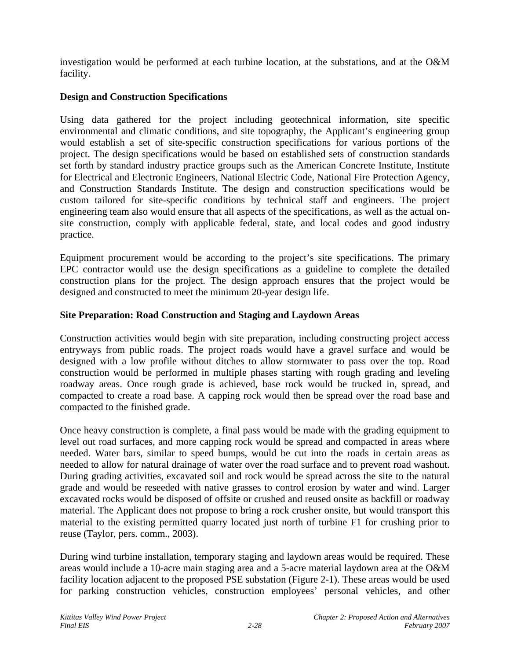investigation would be performed at each turbine location, at the substations, and at the O&M facility.

## **Design and Construction Specifications**

Using data gathered for the project including geotechnical information, site specific environmental and climatic conditions, and site topography, the Applicant's engineering group would establish a set of site-specific construction specifications for various portions of the project. The design specifications would be based on established sets of construction standards set forth by standard industry practice groups such as the American Concrete Institute, Institute for Electrical and Electronic Engineers, National Electric Code, National Fire Protection Agency, and Construction Standards Institute. The design and construction specifications would be custom tailored for site-specific conditions by technical staff and engineers. The project engineering team also would ensure that all aspects of the specifications, as well as the actual onsite construction, comply with applicable federal, state, and local codes and good industry practice.

Equipment procurement would be according to the project's site specifications. The primary EPC contractor would use the design specifications as a guideline to complete the detailed construction plans for the project. The design approach ensures that the project would be designed and constructed to meet the minimum 20-year design life.

## **Site Preparation: Road Construction and Staging and Laydown Areas**

Construction activities would begin with site preparation, including constructing project access entryways from public roads. The project roads would have a gravel surface and would be designed with a low profile without ditches to allow stormwater to pass over the top. Road construction would be performed in multiple phases starting with rough grading and leveling roadway areas. Once rough grade is achieved, base rock would be trucked in, spread, and compacted to create a road base. A capping rock would then be spread over the road base and compacted to the finished grade.

Once heavy construction is complete, a final pass would be made with the grading equipment to level out road surfaces, and more capping rock would be spread and compacted in areas where needed. Water bars, similar to speed bumps, would be cut into the roads in certain areas as needed to allow for natural drainage of water over the road surface and to prevent road washout. During grading activities, excavated soil and rock would be spread across the site to the natural grade and would be reseeded with native grasses to control erosion by water and wind. Larger excavated rocks would be disposed of offsite or crushed and reused onsite as backfill or roadway material. The Applicant does not propose to bring a rock crusher onsite, but would transport this material to the existing permitted quarry located just north of turbine F1 for crushing prior to reuse (Taylor, pers. comm., 2003).

During wind turbine installation, temporary staging and laydown areas would be required. These areas would include a 10-acre main staging area and a 5-acre material laydown area at the O&M facility location adjacent to the proposed PSE substation (Figure 2-1). These areas would be used for parking construction vehicles, construction employees' personal vehicles, and other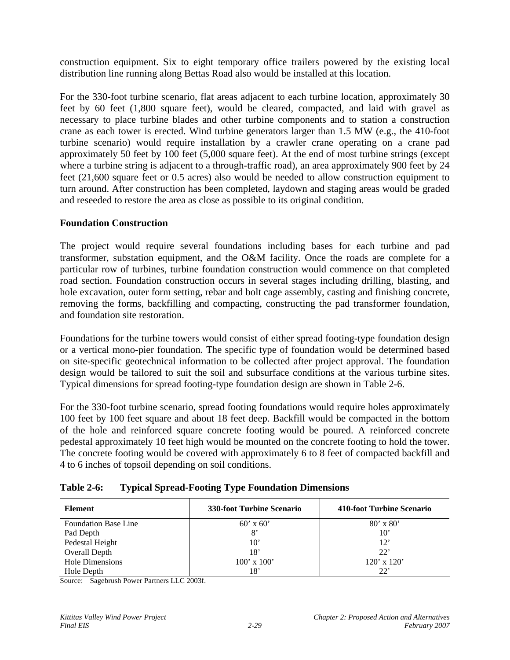construction equipment. Six to eight temporary office trailers powered by the existing local distribution line running along Bettas Road also would be installed at this location.

For the 330-foot turbine scenario, flat areas adjacent to each turbine location, approximately 30 feet by 60 feet (1,800 square feet), would be cleared, compacted, and laid with gravel as necessary to place turbine blades and other turbine components and to station a construction crane as each tower is erected. Wind turbine generators larger than 1.5 MW (e.g., the 410-foot turbine scenario) would require installation by a crawler crane operating on a crane pad approximately 50 feet by 100 feet (5,000 square feet). At the end of most turbine strings (except where a turbine string is adjacent to a through-traffic road), an area approximately 900 feet by 24 feet (21,600 square feet or 0.5 acres) also would be needed to allow construction equipment to turn around. After construction has been completed, laydown and staging areas would be graded and reseeded to restore the area as close as possible to its original condition.

## **Foundation Construction**

The project would require several foundations including bases for each turbine and pad transformer, substation equipment, and the O&M facility. Once the roads are complete for a particular row of turbines, turbine foundation construction would commence on that completed road section. Foundation construction occurs in several stages including drilling, blasting, and hole excavation, outer form setting, rebar and bolt cage assembly, casting and finishing concrete, removing the forms, backfilling and compacting, constructing the pad transformer foundation, and foundation site restoration.

Foundations for the turbine towers would consist of either spread footing-type foundation design or a vertical mono-pier foundation. The specific type of foundation would be determined based on site-specific geotechnical information to be collected after project approval. The foundation design would be tailored to suit the soil and subsurface conditions at the various turbine sites. Typical dimensions for spread footing-type foundation design are shown in Table 2-6.

For the 330-foot turbine scenario, spread footing foundations would require holes approximately 100 feet by 100 feet square and about 18 feet deep. Backfill would be compacted in the bottom of the hole and reinforced square concrete footing would be poured. A reinforced concrete pedestal approximately 10 feet high would be mounted on the concrete footing to hold the tower. The concrete footing would be covered with approximately 6 to 8 feet of compacted backfill and 4 to 6 inches of topsoil depending on soil conditions.

| Element                     | <b>330-foot Turbine Scenario</b> | 410-foot Turbine Scenario |
|-----------------------------|----------------------------------|---------------------------|
| <b>Foundation Base Line</b> | $60'$ x $60'$                    | $80' \times 80'$          |
| Pad Depth                   | 8'                               | $10^{\circ}$              |
| Pedestal Height             | $10^{\circ}$                     | 12'                       |
| Overall Depth               | 18'                              | 22'                       |
| Hole Dimensions             | $100'$ x $100'$                  | $120'$ x $120'$           |
| Hole Depth                  | 18'                              | 22'                       |

Source: Sagebrush Power Partners LLC 2003f.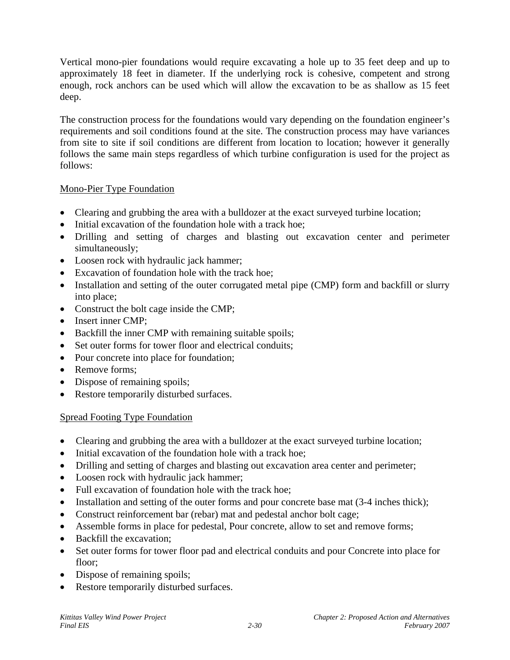Vertical mono-pier foundations would require excavating a hole up to 35 feet deep and up to approximately 18 feet in diameter. If the underlying rock is cohesive, competent and strong enough, rock anchors can be used which will allow the excavation to be as shallow as 15 feet deep.

The construction process for the foundations would vary depending on the foundation engineer's requirements and soil conditions found at the site. The construction process may have variances from site to site if soil conditions are different from location to location; however it generally follows the same main steps regardless of which turbine configuration is used for the project as follows:

## Mono-Pier Type Foundation

- Clearing and grubbing the area with a bulldozer at the exact surveyed turbine location;
- Initial excavation of the foundation hole with a track hoe;
- Drilling and setting of charges and blasting out excavation center and perimeter simultaneously;
- Loosen rock with hydraulic jack hammer;
- Excavation of foundation hole with the track hoe;
- Installation and setting of the outer corrugated metal pipe (CMP) form and backfill or slurry into place;
- Construct the bolt cage inside the CMP;
- Insert inner CMP;
- Backfill the inner CMP with remaining suitable spoils;
- Set outer forms for tower floor and electrical conduits:
- Pour concrete into place for foundation;
- Remove forms:
- Dispose of remaining spoils;
- Restore temporarily disturbed surfaces.

## Spread Footing Type Foundation

- Clearing and grubbing the area with a bulldozer at the exact surveyed turbine location;
- Initial excavation of the foundation hole with a track hoe;
- Drilling and setting of charges and blasting out excavation area center and perimeter;
- Loosen rock with hydraulic jack hammer;
- Full excavation of foundation hole with the track hoe:
- Installation and setting of the outer forms and pour concrete base mat  $(3-4$  inches thick);
- Construct reinforcement bar (rebar) mat and pedestal anchor bolt cage;
- Assemble forms in place for pedestal, Pour concrete, allow to set and remove forms;
- Backfill the excavation;
- Set outer forms for tower floor pad and electrical conduits and pour Concrete into place for floor;
- Dispose of remaining spoils;
- Restore temporarily disturbed surfaces.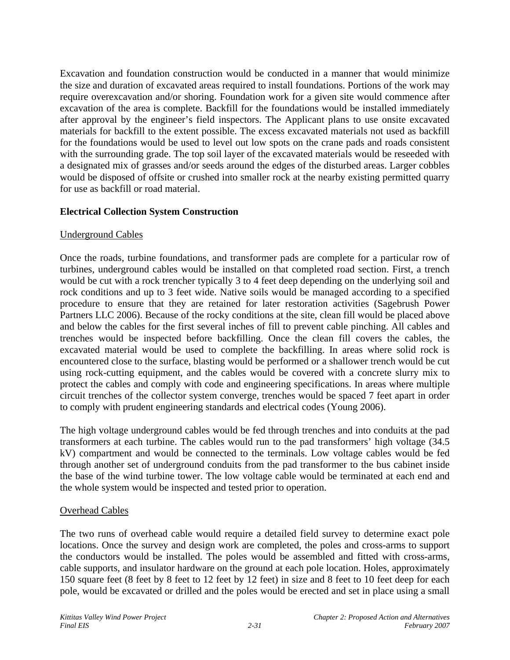Excavation and foundation construction would be conducted in a manner that would minimize the size and duration of excavated areas required to install foundations. Portions of the work may require overexcavation and/or shoring. Foundation work for a given site would commence after excavation of the area is complete. Backfill for the foundations would be installed immediately after approval by the engineer's field inspectors. The Applicant plans to use onsite excavated materials for backfill to the extent possible. The excess excavated materials not used as backfill for the foundations would be used to level out low spots on the crane pads and roads consistent with the surrounding grade. The top soil layer of the excavated materials would be reseeded with a designated mix of grasses and/or seeds around the edges of the disturbed areas. Larger cobbles would be disposed of offsite or crushed into smaller rock at the nearby existing permitted quarry for use as backfill or road material.

## **Electrical Collection System Construction**

#### Underground Cables

Once the roads, turbine foundations, and transformer pads are complete for a particular row of turbines, underground cables would be installed on that completed road section. First, a trench would be cut with a rock trencher typically 3 to 4 feet deep depending on the underlying soil and rock conditions and up to 3 feet wide. Native soils would be managed according to a specified procedure to ensure that they are retained for later restoration activities (Sagebrush Power Partners LLC 2006). Because of the rocky conditions at the site, clean fill would be placed above and below the cables for the first several inches of fill to prevent cable pinching. All cables and trenches would be inspected before backfilling. Once the clean fill covers the cables, the excavated material would be used to complete the backfilling. In areas where solid rock is encountered close to the surface, blasting would be performed or a shallower trench would be cut using rock-cutting equipment, and the cables would be covered with a concrete slurry mix to protect the cables and comply with code and engineering specifications. In areas where multiple circuit trenches of the collector system converge, trenches would be spaced 7 feet apart in order to comply with prudent engineering standards and electrical codes (Young 2006).

The high voltage underground cables would be fed through trenches and into conduits at the pad transformers at each turbine. The cables would run to the pad transformers' high voltage (34.5 kV) compartment and would be connected to the terminals. Low voltage cables would be fed through another set of underground conduits from the pad transformer to the bus cabinet inside the base of the wind turbine tower. The low voltage cable would be terminated at each end and the whole system would be inspected and tested prior to operation.

#### Overhead Cables

The two runs of overhead cable would require a detailed field survey to determine exact pole locations. Once the survey and design work are completed, the poles and cross-arms to support the conductors would be installed. The poles would be assembled and fitted with cross-arms, cable supports, and insulator hardware on the ground at each pole location. Holes, approximately 150 square feet (8 feet by 8 feet to 12 feet by 12 feet) in size and 8 feet to 10 feet deep for each pole, would be excavated or drilled and the poles would be erected and set in place using a small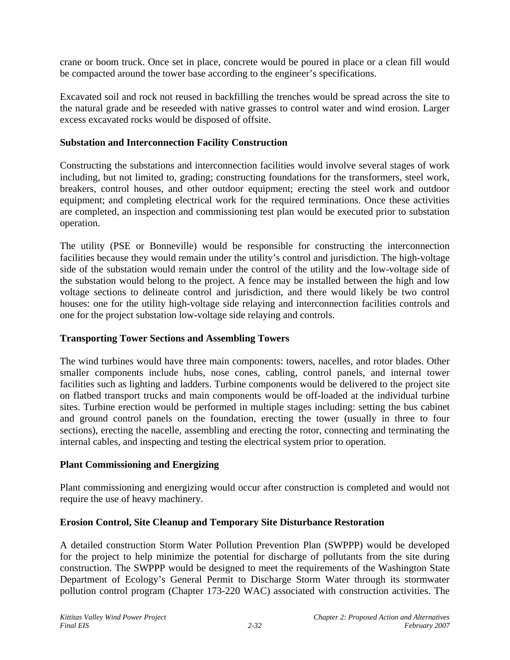crane or boom truck. Once set in place, concrete would be poured in place or a clean fill would be compacted around the tower base according to the engineer's specifications.

Excavated soil and rock not reused in backfilling the trenches would be spread across the site to the natural grade and be reseeded with native grasses to control water and wind erosion. Larger excess excavated rocks would be disposed of offsite.

## **Substation and Interconnection Facility Construction**

Constructing the substations and interconnection facilities would involve several stages of work including, but not limited to, grading; constructing foundations for the transformers, steel work, breakers, control houses, and other outdoor equipment; erecting the steel work and outdoor equipment; and completing electrical work for the required terminations. Once these activities are completed, an inspection and commissioning test plan would be executed prior to substation operation.

The utility (PSE or Bonneville) would be responsible for constructing the interconnection facilities because they would remain under the utility's control and jurisdiction. The high-voltage side of the substation would remain under the control of the utility and the low-voltage side of the substation would belong to the project. A fence may be installed between the high and low voltage sections to delineate control and jurisdiction, and there would likely be two control houses: one for the utility high-voltage side relaying and interconnection facilities controls and one for the project substation low-voltage side relaying and controls.

## **Transporting Tower Sections and Assembling Towers**

The wind turbines would have three main components: towers, nacelles, and rotor blades. Other smaller components include hubs, nose cones, cabling, control panels, and internal tower facilities such as lighting and ladders. Turbine components would be delivered to the project site on flatbed transport trucks and main components would be off-loaded at the individual turbine sites. Turbine erection would be performed in multiple stages including: setting the bus cabinet and ground control panels on the foundation, erecting the tower (usually in three to four sections), erecting the nacelle, assembling and erecting the rotor, connecting and terminating the internal cables, and inspecting and testing the electrical system prior to operation.

## **Plant Commissioning and Energizing**

Plant commissioning and energizing would occur after construction is completed and would not require the use of heavy machinery.

## **Erosion Control, Site Cleanup and Temporary Site Disturbance Restoration**

A detailed construction Storm Water Pollution Prevention Plan (SWPPP) would be developed for the project to help minimize the potential for discharge of pollutants from the site during construction. The SWPPP would be designed to meet the requirements of the Washington State Department of Ecology's General Permit to Discharge Storm Water through its stormwater pollution control program (Chapter 173-220 WAC) associated with construction activities. The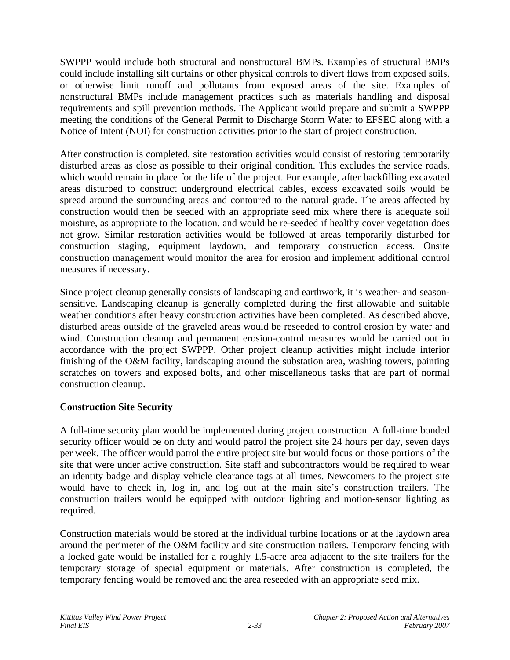SWPPP would include both structural and nonstructural BMPs. Examples of structural BMPs could include installing silt curtains or other physical controls to divert flows from exposed soils, or otherwise limit runoff and pollutants from exposed areas of the site. Examples of nonstructural BMPs include management practices such as materials handling and disposal requirements and spill prevention methods. The Applicant would prepare and submit a SWPPP meeting the conditions of the General Permit to Discharge Storm Water to EFSEC along with a Notice of Intent (NOI) for construction activities prior to the start of project construction.

After construction is completed, site restoration activities would consist of restoring temporarily disturbed areas as close as possible to their original condition. This excludes the service roads, which would remain in place for the life of the project. For example, after backfilling excavated areas disturbed to construct underground electrical cables, excess excavated soils would be spread around the surrounding areas and contoured to the natural grade. The areas affected by construction would then be seeded with an appropriate seed mix where there is adequate soil moisture, as appropriate to the location, and would be re-seeded if healthy cover vegetation does not grow. Similar restoration activities would be followed at areas temporarily disturbed for construction staging, equipment laydown, and temporary construction access. Onsite construction management would monitor the area for erosion and implement additional control measures if necessary.

Since project cleanup generally consists of landscaping and earthwork, it is weather- and seasonsensitive. Landscaping cleanup is generally completed during the first allowable and suitable weather conditions after heavy construction activities have been completed. As described above, disturbed areas outside of the graveled areas would be reseeded to control erosion by water and wind. Construction cleanup and permanent erosion-control measures would be carried out in accordance with the project SWPPP. Other project cleanup activities might include interior finishing of the O&M facility, landscaping around the substation area, washing towers, painting scratches on towers and exposed bolts, and other miscellaneous tasks that are part of normal construction cleanup.

## **Construction Site Security**

A full-time security plan would be implemented during project construction. A full-time bonded security officer would be on duty and would patrol the project site 24 hours per day, seven days per week. The officer would patrol the entire project site but would focus on those portions of the site that were under active construction. Site staff and subcontractors would be required to wear an identity badge and display vehicle clearance tags at all times. Newcomers to the project site would have to check in, log in, and log out at the main site's construction trailers. The construction trailers would be equipped with outdoor lighting and motion-sensor lighting as required.

Construction materials would be stored at the individual turbine locations or at the laydown area around the perimeter of the O&M facility and site construction trailers. Temporary fencing with a locked gate would be installed for a roughly 1.5-acre area adjacent to the site trailers for the temporary storage of special equipment or materials. After construction is completed, the temporary fencing would be removed and the area reseeded with an appropriate seed mix.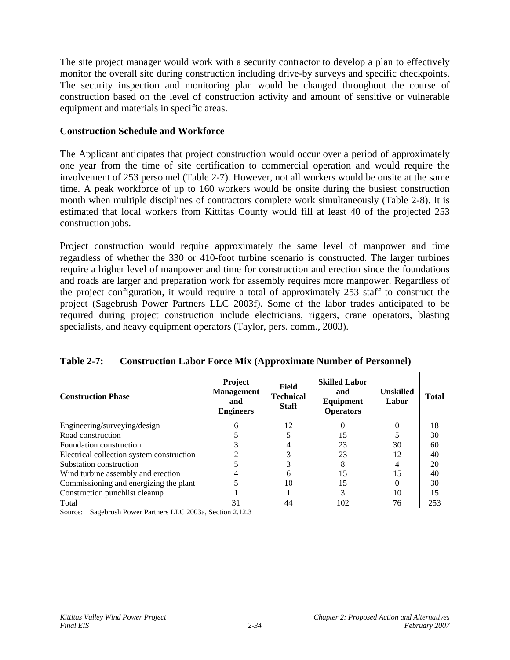The site project manager would work with a security contractor to develop a plan to effectively monitor the overall site during construction including drive-by surveys and specific checkpoints. The security inspection and monitoring plan would be changed throughout the course of construction based on the level of construction activity and amount of sensitive or vulnerable equipment and materials in specific areas.

#### **Construction Schedule and Workforce**

The Applicant anticipates that project construction would occur over a period of approximately one year from the time of site certification to commercial operation and would require the involvement of 253 personnel (Table 2-7). However, not all workers would be onsite at the same time. A peak workforce of up to 160 workers would be onsite during the busiest construction month when multiple disciplines of contractors complete work simultaneously (Table 2-8). It is estimated that local workers from Kittitas County would fill at least 40 of the projected 253 construction jobs.

Project construction would require approximately the same level of manpower and time regardless of whether the 330 or 410-foot turbine scenario is constructed. The larger turbines require a higher level of manpower and time for construction and erection since the foundations and roads are larger and preparation work for assembly requires more manpower. Regardless of the project configuration, it would require a total of approximately 253 staff to construct the project (Sagebrush Power Partners LLC 2003f). Some of the labor trades anticipated to be required during project construction include electricians, riggers, crane operators, blasting specialists, and heavy equipment operators (Taylor, pers. comm., 2003).

| <b>Construction Phase</b>                 | <b>Project</b><br><b>Management</b><br>and<br><b>Engineers</b> | Field<br><b>Technical</b><br><b>Staff</b> | <b>Skilled Labor</b><br>and<br>Equipment<br><b>Operators</b> | <b>Unskilled</b><br>Labor | <b>Total</b> |
|-------------------------------------------|----------------------------------------------------------------|-------------------------------------------|--------------------------------------------------------------|---------------------------|--------------|
| Engineering/surveying/design              | h                                                              | 12                                        |                                                              |                           | 18           |
| Road construction                         |                                                                |                                           | 15                                                           |                           | 30           |
| Foundation construction                   |                                                                |                                           | 23                                                           | 30                        | 60           |
| Electrical collection system construction |                                                                |                                           | 23                                                           | 12                        | 40           |
| Substation construction                   |                                                                |                                           | 8                                                            |                           | 20           |
| Wind turbine assembly and erection        |                                                                | 6                                         | 15                                                           | 15                        | 40           |
| Commissioning and energizing the plant    |                                                                | 10                                        | 15                                                           |                           | 30           |
| Construction punchlist cleanup            |                                                                |                                           | 3                                                            | 10                        | 15           |
| Total                                     | 31                                                             | 44                                        | 102                                                          | 76                        | 253          |

**Table 2-7: Construction Labor Force Mix (Approximate Number of Personnel)** 

Source: Sagebrush Power Partners LLC 2003a, Section 2.12.3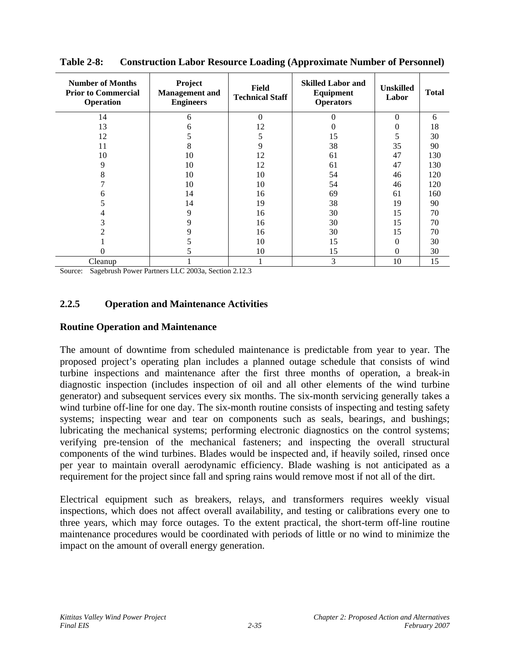| <b>Number of Months</b><br><b>Prior to Commercial</b><br>Operation | Project<br><b>Management</b> and<br><b>Engineers</b> | Field<br><b>Technical Staff</b> | <b>Skilled Labor and</b><br>Equipment<br><b>Operators</b> | <b>Unskilled</b><br>Labor | <b>Total</b> |
|--------------------------------------------------------------------|------------------------------------------------------|---------------------------------|-----------------------------------------------------------|---------------------------|--------------|
| 14                                                                 | 6                                                    | $\theta$                        | $\Omega$                                                  | $\Omega$                  | 6            |
| 13                                                                 | h                                                    | 12                              | 0                                                         | 0                         | 18           |
| 12                                                                 |                                                      | 5                               | 15                                                        | 5                         | 30           |
| 11                                                                 | 8                                                    | 9                               | 38                                                        | 35                        | 90           |
| 10                                                                 | 10                                                   | 12                              | 61                                                        | 47                        | 130          |
| 9                                                                  | 10                                                   | 12                              | 61                                                        | 47                        | 130          |
| 8                                                                  | 10                                                   | 10                              | 54                                                        | 46                        | 120          |
|                                                                    | 10                                                   | 10                              | 54                                                        | 46                        | 120          |
| h                                                                  | 14                                                   | 16                              | 69                                                        | 61                        | 160          |
| 5                                                                  | 14                                                   | 19                              | 38                                                        | 19                        | 90           |
| 4                                                                  | 9                                                    | 16                              | 30                                                        | 15                        | 70           |
| 3                                                                  | 9                                                    | 16                              | 30                                                        | 15                        | 70           |
| 2                                                                  | 9                                                    | 16                              | 30                                                        | 15                        | 70           |
|                                                                    |                                                      | 10                              | 15                                                        | $\theta$                  | 30           |
|                                                                    |                                                      | 10                              | 15                                                        | $\theta$                  | 30           |
| Cleanup                                                            |                                                      |                                 | 3                                                         | 10                        | 15           |

**Table 2-8: Construction Labor Resource Loading (Approximate Number of Personnel)** 

Source: Sagebrush Power Partners LLC 2003a, Section 2.12.3

## **2.2.5 Operation and Maintenance Activities**

#### **Routine Operation and Maintenance**

The amount of downtime from scheduled maintenance is predictable from year to year. The proposed project's operating plan includes a planned outage schedule that consists of wind turbine inspections and maintenance after the first three months of operation, a break-in diagnostic inspection (includes inspection of oil and all other elements of the wind turbine generator) and subsequent services every six months. The six-month servicing generally takes a wind turbine off-line for one day. The six-month routine consists of inspecting and testing safety systems; inspecting wear and tear on components such as seals, bearings, and bushings; lubricating the mechanical systems; performing electronic diagnostics on the control systems; verifying pre-tension of the mechanical fasteners; and inspecting the overall structural components of the wind turbines. Blades would be inspected and, if heavily soiled, rinsed once per year to maintain overall aerodynamic efficiency. Blade washing is not anticipated as a requirement for the project since fall and spring rains would remove most if not all of the dirt.

Electrical equipment such as breakers, relays, and transformers requires weekly visual inspections, which does not affect overall availability, and testing or calibrations every one to three years, which may force outages. To the extent practical, the short-term off-line routine maintenance procedures would be coordinated with periods of little or no wind to minimize the impact on the amount of overall energy generation.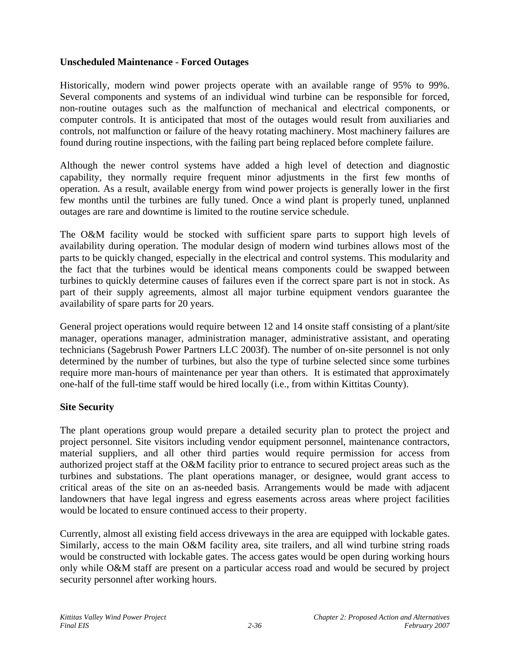## **Unscheduled Maintenance - Forced Outages**

Historically, modern wind power projects operate with an available range of 95% to 99%. Several components and systems of an individual wind turbine can be responsible for forced, non-routine outages such as the malfunction of mechanical and electrical components, or computer controls. It is anticipated that most of the outages would result from auxiliaries and controls, not malfunction or failure of the heavy rotating machinery. Most machinery failures are found during routine inspections, with the failing part being replaced before complete failure.

Although the newer control systems have added a high level of detection and diagnostic capability, they normally require frequent minor adjustments in the first few months of operation. As a result, available energy from wind power projects is generally lower in the first few months until the turbines are fully tuned. Once a wind plant is properly tuned, unplanned outages are rare and downtime is limited to the routine service schedule.

The O&M facility would be stocked with sufficient spare parts to support high levels of availability during operation. The modular design of modern wind turbines allows most of the parts to be quickly changed, especially in the electrical and control systems. This modularity and the fact that the turbines would be identical means components could be swapped between turbines to quickly determine causes of failures even if the correct spare part is not in stock. As part of their supply agreements, almost all major turbine equipment vendors guarantee the availability of spare parts for 20 years.

General project operations would require between 12 and 14 onsite staff consisting of a plant/site manager, operations manager, administration manager, administrative assistant, and operating technicians (Sagebrush Power Partners LLC 2003f). The number of on-site personnel is not only determined by the number of turbines, but also the type of turbine selected since some turbines require more man-hours of maintenance per year than others. It is estimated that approximately one-half of the full-time staff would be hired locally (i.e., from within Kittitas County).

## **Site Security**

The plant operations group would prepare a detailed security plan to protect the project and project personnel. Site visitors including vendor equipment personnel, maintenance contractors, material suppliers, and all other third parties would require permission for access from authorized project staff at the O&M facility prior to entrance to secured project areas such as the turbines and substations. The plant operations manager, or designee, would grant access to critical areas of the site on an as-needed basis. Arrangements would be made with adjacent landowners that have legal ingress and egress easements across areas where project facilities would be located to ensure continued access to their property.

Currently, almost all existing field access driveways in the area are equipped with lockable gates. Similarly, access to the main O&M facility area, site trailers, and all wind turbine string roads would be constructed with lockable gates. The access gates would be open during working hours only while O&M staff are present on a particular access road and would be secured by project security personnel after working hours.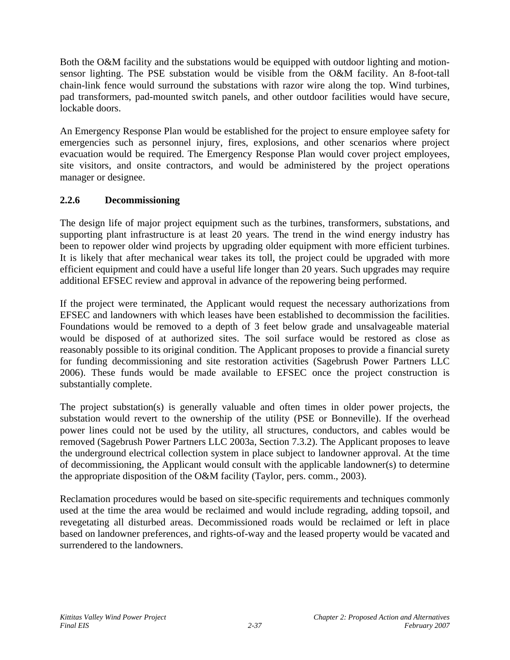Both the O&M facility and the substations would be equipped with outdoor lighting and motionsensor lighting. The PSE substation would be visible from the O&M facility. An 8-foot-tall chain-link fence would surround the substations with razor wire along the top. Wind turbines, pad transformers, pad-mounted switch panels, and other outdoor facilities would have secure, lockable doors.

An Emergency Response Plan would be established for the project to ensure employee safety for emergencies such as personnel injury, fires, explosions, and other scenarios where project evacuation would be required. The Emergency Response Plan would cover project employees, site visitors, and onsite contractors, and would be administered by the project operations manager or designee.

## **2.2.6 Decommissioning**

The design life of major project equipment such as the turbines, transformers, substations, and supporting plant infrastructure is at least 20 years. The trend in the wind energy industry has been to repower older wind projects by upgrading older equipment with more efficient turbines. It is likely that after mechanical wear takes its toll, the project could be upgraded with more efficient equipment and could have a useful life longer than 20 years. Such upgrades may require additional EFSEC review and approval in advance of the repowering being performed.

If the project were terminated, the Applicant would request the necessary authorizations from EFSEC and landowners with which leases have been established to decommission the facilities. Foundations would be removed to a depth of 3 feet below grade and unsalvageable material would be disposed of at authorized sites. The soil surface would be restored as close as reasonably possible to its original condition. The Applicant proposes to provide a financial surety for funding decommissioning and site restoration activities (Sagebrush Power Partners LLC 2006). These funds would be made available to EFSEC once the project construction is substantially complete.

The project substation(s) is generally valuable and often times in older power projects, the substation would revert to the ownership of the utility (PSE or Bonneville). If the overhead power lines could not be used by the utility, all structures, conductors, and cables would be removed (Sagebrush Power Partners LLC 2003a, Section 7.3.2). The Applicant proposes to leave the underground electrical collection system in place subject to landowner approval. At the time of decommissioning, the Applicant would consult with the applicable landowner(s) to determine the appropriate disposition of the O&M facility (Taylor, pers. comm., 2003).

Reclamation procedures would be based on site-specific requirements and techniques commonly used at the time the area would be reclaimed and would include regrading, adding topsoil, and revegetating all disturbed areas. Decommissioned roads would be reclaimed or left in place based on landowner preferences, and rights-of-way and the leased property would be vacated and surrendered to the landowners.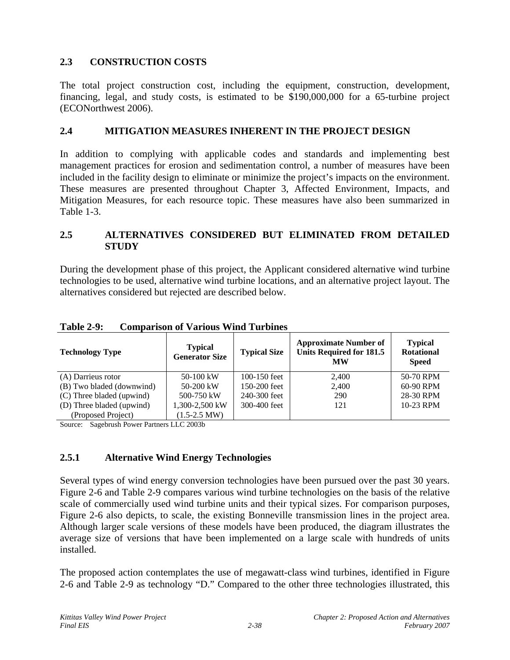# **2.3 CONSTRUCTION COSTS**

The total project construction cost, including the equipment, construction, development, financing, legal, and study costs, is estimated to be \$190,000,000 for a 65-turbine project (ECONorthwest 2006).

## **2.4 MITIGATION MEASURES INHERENT IN THE PROJECT DESIGN**

In addition to complying with applicable codes and standards and implementing best management practices for erosion and sedimentation control, a number of measures have been included in the facility design to eliminate or minimize the project's impacts on the environment. These measures are presented throughout Chapter 3, Affected Environment, Impacts, and Mitigation Measures, for each resource topic. These measures have also been summarized in Table 1-3.

#### **2.5 ALTERNATIVES CONSIDERED BUT ELIMINATED FROM DETAILED STUDY**

During the development phase of this project, the Applicant considered alternative wind turbine technologies to be used, alternative wind turbine locations, and an alternative project layout. The alternatives considered but rejected are described below.

| <b>Technology Type</b>    | <b>Typical</b><br><b>Generator Size</b> | <b>Typical Size</b> | <b>Approximate Number of</b><br><b>Units Required for 181.5</b><br><b>MW</b> | <b>Typical</b><br><b>Rotational</b><br><b>Speed</b> |
|---------------------------|-----------------------------------------|---------------------|------------------------------------------------------------------------------|-----------------------------------------------------|
| (A) Darrieus rotor        | 50-100 kW                               | $100 - 150$ feet    | 2,400                                                                        | 50-70 RPM                                           |
| (B) Two bladed (downwind) | $50-200$ kW                             | $150-200$ feet      | 2,400                                                                        | 60-90 RPM                                           |
| (C) Three bladed (upwind) | 500-750 kW                              | 240-300 feet        | 290                                                                          | 28-30 RPM                                           |
| (D) Three bladed (upwind) | 1,300-2,500 kW                          | 300-400 feet        | 121                                                                          | 10-23 RPM                                           |
| (Proposed Project)        | $(1.5-2.5$ MW)                          |                     |                                                                              |                                                     |

### **Table 2-9: Comparison of Various Wind Turbines**

Source: Sagebrush Power Partners LLC 2003b

### **2.5.1 Alternative Wind Energy Technologies**

Several types of wind energy conversion technologies have been pursued over the past 30 years. Figure 2-6 and Table 2-9 compares various wind turbine technologies on the basis of the relative scale of commercially used wind turbine units and their typical sizes. For comparison purposes, Figure 2-6 also depicts, to scale, the existing Bonneville transmission lines in the project area. Although larger scale versions of these models have been produced, the diagram illustrates the average size of versions that have been implemented on a large scale with hundreds of units installed.

The proposed action contemplates the use of megawatt-class wind turbines, identified in Figure 2-6 and Table 2-9 as technology "D." Compared to the other three technologies illustrated, this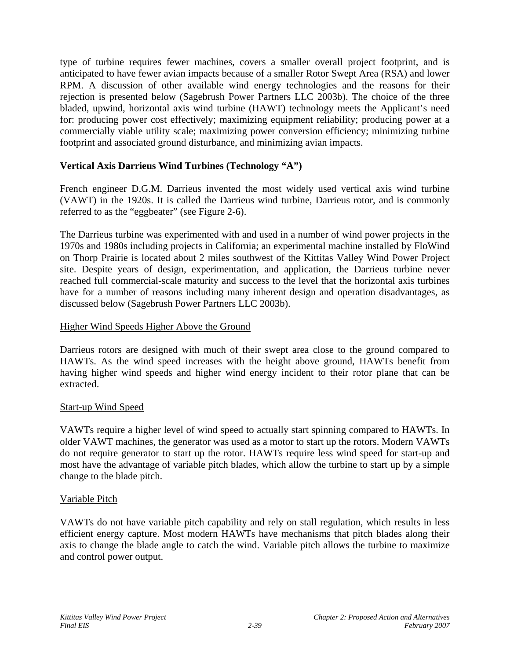type of turbine requires fewer machines, covers a smaller overall project footprint, and is anticipated to have fewer avian impacts because of a smaller Rotor Swept Area (RSA) and lower RPM. A discussion of other available wind energy technologies and the reasons for their rejection is presented below (Sagebrush Power Partners LLC 2003b). The choice of the three bladed, upwind, horizontal axis wind turbine (HAWT) technology meets the Applicant's need for: producing power cost effectively; maximizing equipment reliability; producing power at a commercially viable utility scale; maximizing power conversion efficiency; minimizing turbine footprint and associated ground disturbance, and minimizing avian impacts.

## **Vertical Axis Darrieus Wind Turbines (Technology "A")**

French engineer D.G.M. Darrieus invented the most widely used vertical axis wind turbine (VAWT) in the 1920s. It is called the Darrieus wind turbine, Darrieus rotor, and is commonly referred to as the "eggbeater" (see Figure 2-6).

The Darrieus turbine was experimented with and used in a number of wind power projects in the 1970s and 1980s including projects in California; an experimental machine installed by FloWind on Thorp Prairie is located about 2 miles southwest of the Kittitas Valley Wind Power Project site. Despite years of design, experimentation, and application, the Darrieus turbine never reached full commercial-scale maturity and success to the level that the horizontal axis turbines have for a number of reasons including many inherent design and operation disadvantages, as discussed below (Sagebrush Power Partners LLC 2003b).

### Higher Wind Speeds Higher Above the Ground

Darrieus rotors are designed with much of their swept area close to the ground compared to HAWTs. As the wind speed increases with the height above ground, HAWTs benefit from having higher wind speeds and higher wind energy incident to their rotor plane that can be extracted.

### Start-up Wind Speed

VAWTs require a higher level of wind speed to actually start spinning compared to HAWTs. In older VAWT machines, the generator was used as a motor to start up the rotors. Modern VAWTs do not require generator to start up the rotor. HAWTs require less wind speed for start-up and most have the advantage of variable pitch blades, which allow the turbine to start up by a simple change to the blade pitch.

### Variable Pitch

VAWTs do not have variable pitch capability and rely on stall regulation, which results in less efficient energy capture. Most modern HAWTs have mechanisms that pitch blades along their axis to change the blade angle to catch the wind. Variable pitch allows the turbine to maximize and control power output.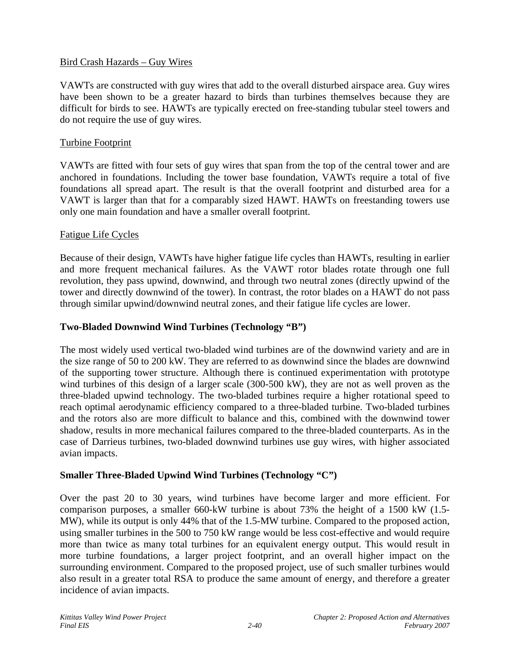#### Bird Crash Hazards – Guy Wires

VAWTs are constructed with guy wires that add to the overall disturbed airspace area. Guy wires have been shown to be a greater hazard to birds than turbines themselves because they are difficult for birds to see. HAWTs are typically erected on free-standing tubular steel towers and do not require the use of guy wires.

#### Turbine Footprint

VAWTs are fitted with four sets of guy wires that span from the top of the central tower and are anchored in foundations. Including the tower base foundation, VAWTs require a total of five foundations all spread apart. The result is that the overall footprint and disturbed area for a VAWT is larger than that for a comparably sized HAWT. HAWTs on freestanding towers use only one main foundation and have a smaller overall footprint.

#### Fatigue Life Cycles

Because of their design, VAWTs have higher fatigue life cycles than HAWTs, resulting in earlier and more frequent mechanical failures. As the VAWT rotor blades rotate through one full revolution, they pass upwind, downwind, and through two neutral zones (directly upwind of the tower and directly downwind of the tower). In contrast, the rotor blades on a HAWT do not pass through similar upwind/downwind neutral zones, and their fatigue life cycles are lower.

#### **Two-Bladed Downwind Wind Turbines (Technology "B")**

The most widely used vertical two-bladed wind turbines are of the downwind variety and are in the size range of 50 to 200 kW. They are referred to as downwind since the blades are downwind of the supporting tower structure. Although there is continued experimentation with prototype wind turbines of this design of a larger scale (300-500 kW), they are not as well proven as the three-bladed upwind technology. The two-bladed turbines require a higher rotational speed to reach optimal aerodynamic efficiency compared to a three-bladed turbine. Two-bladed turbines and the rotors also are more difficult to balance and this, combined with the downwind tower shadow, results in more mechanical failures compared to the three-bladed counterparts. As in the case of Darrieus turbines, two-bladed downwind turbines use guy wires, with higher associated avian impacts.

### **Smaller Three-Bladed Upwind Wind Turbines (Technology "C")**

Over the past 20 to 30 years, wind turbines have become larger and more efficient. For comparison purposes, a smaller 660-kW turbine is about 73% the height of a 1500 kW (1.5- MW), while its output is only 44% that of the 1.5-MW turbine. Compared to the proposed action, using smaller turbines in the 500 to 750 kW range would be less cost-effective and would require more than twice as many total turbines for an equivalent energy output. This would result in more turbine foundations, a larger project footprint, and an overall higher impact on the surrounding environment. Compared to the proposed project, use of such smaller turbines would also result in a greater total RSA to produce the same amount of energy, and therefore a greater incidence of avian impacts.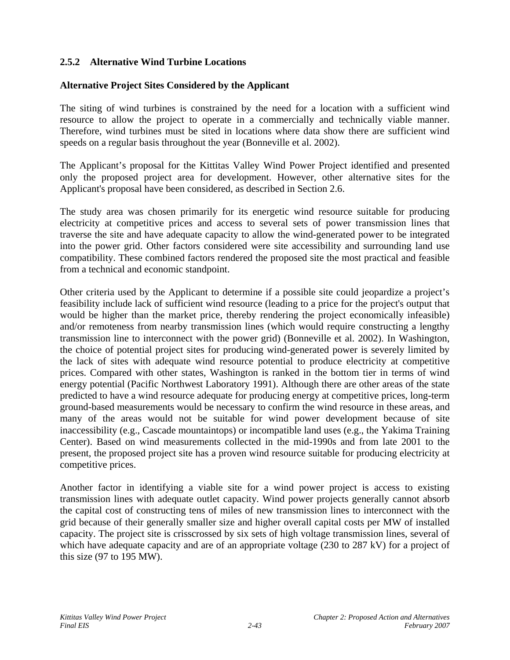### **2.5.2 Alternative Wind Turbine Locations**

### **Alternative Project Sites Considered by the Applicant**

The siting of wind turbines is constrained by the need for a location with a sufficient wind resource to allow the project to operate in a commercially and technically viable manner. Therefore, wind turbines must be sited in locations where data show there are sufficient wind speeds on a regular basis throughout the year (Bonneville et al. 2002).

The Applicant's proposal for the Kittitas Valley Wind Power Project identified and presented only the proposed project area for development. However, other alternative sites for the Applicant's proposal have been considered, as described in Section 2.6.

The study area was chosen primarily for its energetic wind resource suitable for producing electricity at competitive prices and access to several sets of power transmission lines that traverse the site and have adequate capacity to allow the wind-generated power to be integrated into the power grid. Other factors considered were site accessibility and surrounding land use compatibility. These combined factors rendered the proposed site the most practical and feasible from a technical and economic standpoint.

Other criteria used by the Applicant to determine if a possible site could jeopardize a project's feasibility include lack of sufficient wind resource (leading to a price for the project's output that would be higher than the market price, thereby rendering the project economically infeasible) and/or remoteness from nearby transmission lines (which would require constructing a lengthy transmission line to interconnect with the power grid) (Bonneville et al. 2002). In Washington, the choice of potential project sites for producing wind-generated power is severely limited by the lack of sites with adequate wind resource potential to produce electricity at competitive prices. Compared with other states, Washington is ranked in the bottom tier in terms of wind energy potential (Pacific Northwest Laboratory 1991). Although there are other areas of the state predicted to have a wind resource adequate for producing energy at competitive prices, long-term ground-based measurements would be necessary to confirm the wind resource in these areas, and many of the areas would not be suitable for wind power development because of site inaccessibility (e.g., Cascade mountaintops) or incompatible land uses (e.g., the Yakima Training Center). Based on wind measurements collected in the mid-1990s and from late 2001 to the present, the proposed project site has a proven wind resource suitable for producing electricity at competitive prices.

Another factor in identifying a viable site for a wind power project is access to existing transmission lines with adequate outlet capacity. Wind power projects generally cannot absorb the capital cost of constructing tens of miles of new transmission lines to interconnect with the grid because of their generally smaller size and higher overall capital costs per MW of installed capacity. The project site is crisscrossed by six sets of high voltage transmission lines, several of which have adequate capacity and are of an appropriate voltage (230 to 287 kV) for a project of this size (97 to 195 MW).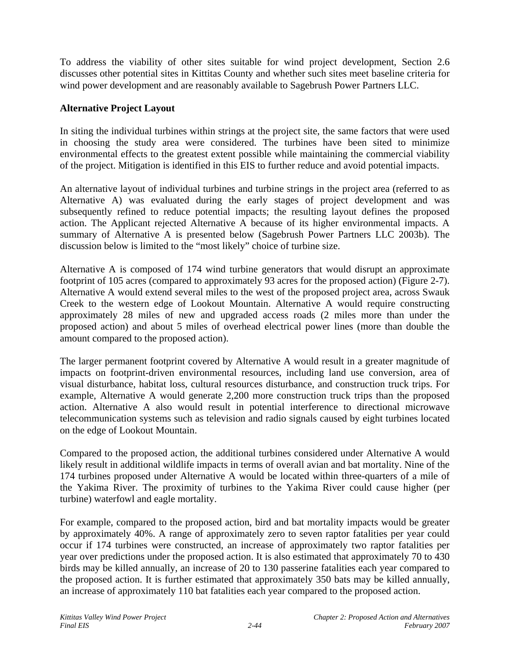To address the viability of other sites suitable for wind project development, Section 2.6 discusses other potential sites in Kittitas County and whether such sites meet baseline criteria for wind power development and are reasonably available to Sagebrush Power Partners LLC.

#### **Alternative Project Layout**

In siting the individual turbines within strings at the project site, the same factors that were used in choosing the study area were considered. The turbines have been sited to minimize environmental effects to the greatest extent possible while maintaining the commercial viability of the project. Mitigation is identified in this EIS to further reduce and avoid potential impacts.

An alternative layout of individual turbines and turbine strings in the project area (referred to as Alternative A) was evaluated during the early stages of project development and was subsequently refined to reduce potential impacts; the resulting layout defines the proposed action. The Applicant rejected Alternative A because of its higher environmental impacts. A summary of Alternative A is presented below (Sagebrush Power Partners LLC 2003b). The discussion below is limited to the "most likely" choice of turbine size.

Alternative A is composed of 174 wind turbine generators that would disrupt an approximate footprint of 105 acres (compared to approximately 93 acres for the proposed action) (Figure 2-7). Alternative A would extend several miles to the west of the proposed project area, across Swauk Creek to the western edge of Lookout Mountain. Alternative A would require constructing approximately 28 miles of new and upgraded access roads (2 miles more than under the proposed action) and about 5 miles of overhead electrical power lines (more than double the amount compared to the proposed action).

The larger permanent footprint covered by Alternative A would result in a greater magnitude of impacts on footprint-driven environmental resources, including land use conversion, area of visual disturbance, habitat loss, cultural resources disturbance, and construction truck trips. For example, Alternative A would generate 2,200 more construction truck trips than the proposed action. Alternative A also would result in potential interference to directional microwave telecommunication systems such as television and radio signals caused by eight turbines located on the edge of Lookout Mountain.

Compared to the proposed action, the additional turbines considered under Alternative A would likely result in additional wildlife impacts in terms of overall avian and bat mortality. Nine of the 174 turbines proposed under Alternative A would be located within three-quarters of a mile of the Yakima River. The proximity of turbines to the Yakima River could cause higher (per turbine) waterfowl and eagle mortality.

For example, compared to the proposed action, bird and bat mortality impacts would be greater by approximately 40%. A range of approximately zero to seven raptor fatalities per year could occur if 174 turbines were constructed, an increase of approximately two raptor fatalities per year over predictions under the proposed action. It is also estimated that approximately 70 to 430 birds may be killed annually, an increase of 20 to 130 passerine fatalities each year compared to the proposed action. It is further estimated that approximately 350 bats may be killed annually, an increase of approximately 110 bat fatalities each year compared to the proposed action.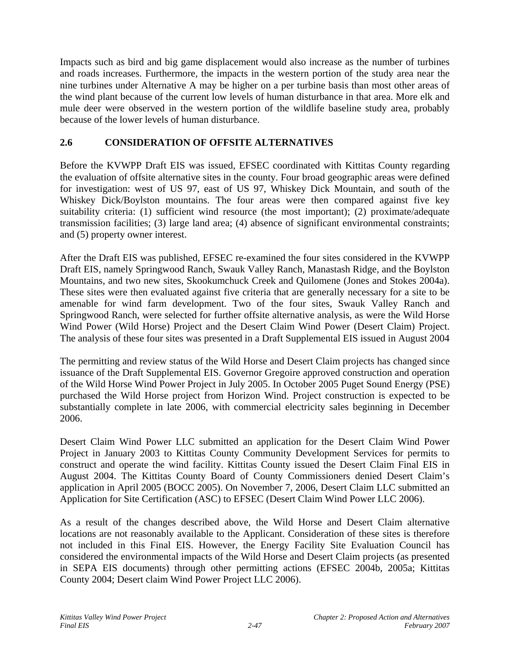Impacts such as bird and big game displacement would also increase as the number of turbines and roads increases. Furthermore, the impacts in the western portion of the study area near the nine turbines under Alternative A may be higher on a per turbine basis than most other areas of the wind plant because of the current low levels of human disturbance in that area. More elk and mule deer were observed in the western portion of the wildlife baseline study area, probably because of the lower levels of human disturbance.

### **2.6 CONSIDERATION OF OFFSITE ALTERNATIVES**

Before the KVWPP Draft EIS was issued, EFSEC coordinated with Kittitas County regarding the evaluation of offsite alternative sites in the county. Four broad geographic areas were defined for investigation: west of US 97, east of US 97, Whiskey Dick Mountain, and south of the Whiskey Dick/Boylston mountains. The four areas were then compared against five key suitability criteria: (1) sufficient wind resource (the most important); (2) proximate/adequate transmission facilities; (3) large land area; (4) absence of significant environmental constraints; and (5) property owner interest.

After the Draft EIS was published, EFSEC re-examined the four sites considered in the KVWPP Draft EIS, namely Springwood Ranch, Swauk Valley Ranch, Manastash Ridge, and the Boylston Mountains, and two new sites, Skookumchuck Creek and Quilomene (Jones and Stokes 2004a). These sites were then evaluated against five criteria that are generally necessary for a site to be amenable for wind farm development. Two of the four sites, Swauk Valley Ranch and Springwood Ranch, were selected for further offsite alternative analysis, as were the Wild Horse Wind Power (Wild Horse) Project and the Desert Claim Wind Power (Desert Claim) Project. The analysis of these four sites was presented in a Draft Supplemental EIS issued in August 2004

The permitting and review status of the Wild Horse and Desert Claim projects has changed since issuance of the Draft Supplemental EIS. Governor Gregoire approved construction and operation of the Wild Horse Wind Power Project in July 2005. In October 2005 Puget Sound Energy (PSE) purchased the Wild Horse project from Horizon Wind. Project construction is expected to be substantially complete in late 2006, with commercial electricity sales beginning in December 2006.

Desert Claim Wind Power LLC submitted an application for the Desert Claim Wind Power Project in January 2003 to Kittitas County Community Development Services for permits to construct and operate the wind facility. Kittitas County issued the Desert Claim Final EIS in August 2004. The Kittitas County Board of County Commissioners denied Desert Claim's application in April 2005 (BOCC 2005). On November 7, 2006, Desert Claim LLC submitted an Application for Site Certification (ASC) to EFSEC (Desert Claim Wind Power LLC 2006).

As a result of the changes described above, the Wild Horse and Desert Claim alternative locations are not reasonably available to the Applicant. Consideration of these sites is therefore not included in this Final EIS. However, the Energy Facility Site Evaluation Council has considered the environmental impacts of the Wild Horse and Desert Claim projects (as presented in SEPA EIS documents) through other permitting actions (EFSEC 2004b, 2005a; Kittitas County 2004; Desert claim Wind Power Project LLC 2006).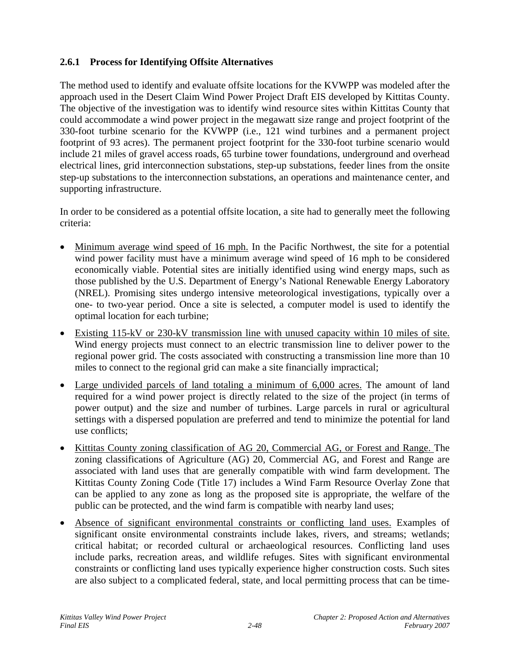## **2.6.1 Process for Identifying Offsite Alternatives**

The method used to identify and evaluate offsite locations for the KVWPP was modeled after the approach used in the Desert Claim Wind Power Project Draft EIS developed by Kittitas County. The objective of the investigation was to identify wind resource sites within Kittitas County that could accommodate a wind power project in the megawatt size range and project footprint of the 330-foot turbine scenario for the KVWPP (i.e., 121 wind turbines and a permanent project footprint of 93 acres). The permanent project footprint for the 330-foot turbine scenario would include 21 miles of gravel access roads, 65 turbine tower foundations, underground and overhead electrical lines, grid interconnection substations, step-up substations, feeder lines from the onsite step-up substations to the interconnection substations, an operations and maintenance center, and supporting infrastructure.

In order to be considered as a potential offsite location, a site had to generally meet the following criteria:

- Minimum average wind speed of 16 mph. In the Pacific Northwest, the site for a potential wind power facility must have a minimum average wind speed of 16 mph to be considered economically viable. Potential sites are initially identified using wind energy maps, such as those published by the U.S. Department of Energy's National Renewable Energy Laboratory (NREL). Promising sites undergo intensive meteorological investigations, typically over a one- to two-year period. Once a site is selected, a computer model is used to identify the optimal location for each turbine;
- Existing 115-kV or 230-kV transmission line with unused capacity within 10 miles of site. Wind energy projects must connect to an electric transmission line to deliver power to the regional power grid. The costs associated with constructing a transmission line more than 10 miles to connect to the regional grid can make a site financially impractical;
- Large undivided parcels of land totaling a minimum of 6,000 acres. The amount of land required for a wind power project is directly related to the size of the project (in terms of power output) and the size and number of turbines. Large parcels in rural or agricultural settings with a dispersed population are preferred and tend to minimize the potential for land use conflicts;
- Kittitas County zoning classification of AG 20, Commercial AG, or Forest and Range. The zoning classifications of Agriculture (AG) 20, Commercial AG, and Forest and Range are associated with land uses that are generally compatible with wind farm development. The Kittitas County Zoning Code (Title 17) includes a Wind Farm Resource Overlay Zone that can be applied to any zone as long as the proposed site is appropriate, the welfare of the public can be protected, and the wind farm is compatible with nearby land uses;
- Absence of significant environmental constraints or conflicting land uses. Examples of significant onsite environmental constraints include lakes, rivers, and streams; wetlands; critical habitat; or recorded cultural or archaeological resources. Conflicting land uses include parks, recreation areas, and wildlife refuges. Sites with significant environmental constraints or conflicting land uses typically experience higher construction costs. Such sites are also subject to a complicated federal, state, and local permitting process that can be time-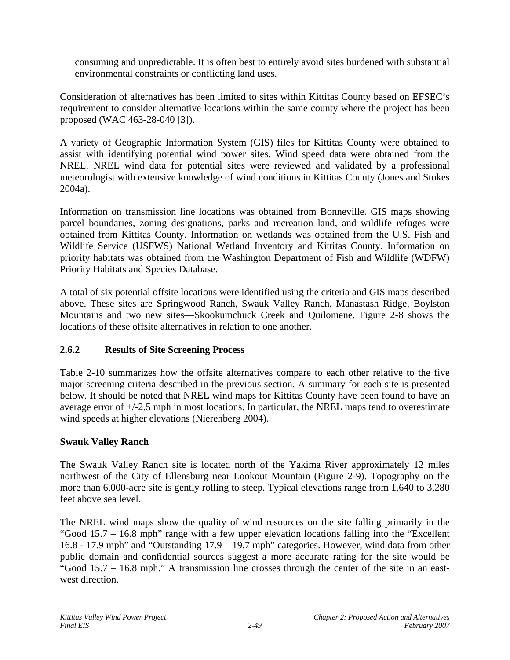consuming and unpredictable. It is often best to entirely avoid sites burdened with substantial environmental constraints or conflicting land uses.

Consideration of alternatives has been limited to sites within Kittitas County based on EFSEC's requirement to consider alternative locations within the same county where the project has been proposed (WAC 463-28-040 [3]).

A variety of Geographic Information System (GIS) files for Kittitas County were obtained to assist with identifying potential wind power sites. Wind speed data were obtained from the NREL. NREL wind data for potential sites were reviewed and validated by a professional meteorologist with extensive knowledge of wind conditions in Kittitas County (Jones and Stokes 2004a).

Information on transmission line locations was obtained from Bonneville. GIS maps showing parcel boundaries, zoning designations, parks and recreation land, and wildlife refuges were obtained from Kittitas County. Information on wetlands was obtained from the U.S. Fish and Wildlife Service (USFWS) National Wetland Inventory and Kittitas County. Information on priority habitats was obtained from the Washington Department of Fish and Wildlife (WDFW) Priority Habitats and Species Database.

A total of six potential offsite locations were identified using the criteria and GIS maps described above. These sites are Springwood Ranch, Swauk Valley Ranch, Manastash Ridge, Boylston Mountains and two new sites—Skookumchuck Creek and Quilomene. Figure 2-8 shows the locations of these offsite alternatives in relation to one another.

# **2.6.2 Results of Site Screening Process**

Table 2-10 summarizes how the offsite alternatives compare to each other relative to the five major screening criteria described in the previous section. A summary for each site is presented below. It should be noted that NREL wind maps for Kittitas County have been found to have an average error of  $+/-2.5$  mph in most locations. In particular, the NREL maps tend to overestimate wind speeds at higher elevations (Nierenberg 2004).

### **Swauk Valley Ranch**

The Swauk Valley Ranch site is located north of the Yakima River approximately 12 miles northwest of the City of Ellensburg near Lookout Mountain (Figure 2-9). Topography on the more than 6,000-acre site is gently rolling to steep. Typical elevations range from 1,640 to 3,280 feet above sea level.

The NREL wind maps show the quality of wind resources on the site falling primarily in the "Good 15.7 – 16.8 mph" range with a few upper elevation locations falling into the "Excellent 16.8 - 17.9 mph" and "Outstanding 17.9 – 19.7 mph" categories. However, wind data from other public domain and confidential sources suggest a more accurate rating for the site would be "Good 15.7 – 16.8 mph." A transmission line crosses through the center of the site in an eastwest direction.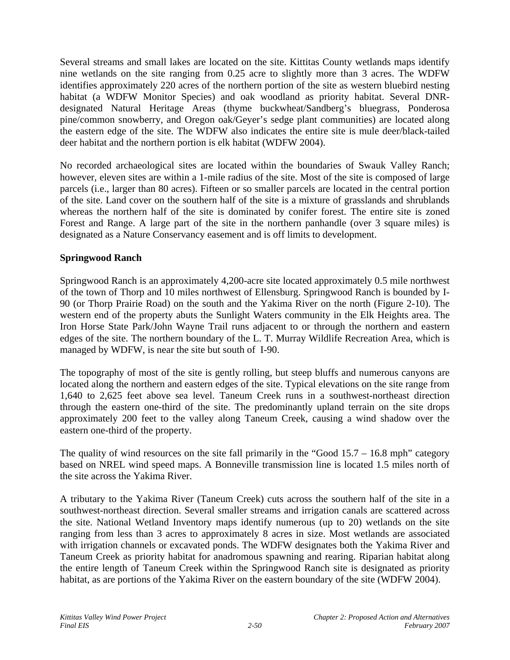Several streams and small lakes are located on the site. Kittitas County wetlands maps identify nine wetlands on the site ranging from 0.25 acre to slightly more than 3 acres. The WDFW identifies approximately 220 acres of the northern portion of the site as western bluebird nesting habitat (a WDFW Monitor Species) and oak woodland as priority habitat. Several DNRdesignated Natural Heritage Areas (thyme buckwheat/Sandberg's bluegrass, Ponderosa pine/common snowberry, and Oregon oak/Geyer's sedge plant communities) are located along the eastern edge of the site. The WDFW also indicates the entire site is mule deer/black-tailed deer habitat and the northern portion is elk habitat (WDFW 2004).

No recorded archaeological sites are located within the boundaries of Swauk Valley Ranch; however, eleven sites are within a 1-mile radius of the site. Most of the site is composed of large parcels (i.e., larger than 80 acres). Fifteen or so smaller parcels are located in the central portion of the site. Land cover on the southern half of the site is a mixture of grasslands and shrublands whereas the northern half of the site is dominated by conifer forest. The entire site is zoned Forest and Range. A large part of the site in the northern panhandle (over 3 square miles) is designated as a Nature Conservancy easement and is off limits to development.

### **Springwood Ranch**

Springwood Ranch is an approximately 4,200-acre site located approximately 0.5 mile northwest of the town of Thorp and 10 miles northwest of Ellensburg. Springwood Ranch is bounded by I-90 (or Thorp Prairie Road) on the south and the Yakima River on the north (Figure 2-10). The western end of the property abuts the Sunlight Waters community in the Elk Heights area. The Iron Horse State Park/John Wayne Trail runs adjacent to or through the northern and eastern edges of the site. The northern boundary of the L. T. Murray Wildlife Recreation Area, which is managed by WDFW, is near the site but south of I-90.

The topography of most of the site is gently rolling, but steep bluffs and numerous canyons are located along the northern and eastern edges of the site. Typical elevations on the site range from 1,640 to 2,625 feet above sea level. Taneum Creek runs in a southwest-northeast direction through the eastern one-third of the site. The predominantly upland terrain on the site drops approximately 200 feet to the valley along Taneum Creek, causing a wind shadow over the eastern one-third of the property.

The quality of wind resources on the site fall primarily in the "Good 15.7 – 16.8 mph" category based on NREL wind speed maps. A Bonneville transmission line is located 1.5 miles north of the site across the Yakima River.

A tributary to the Yakima River (Taneum Creek) cuts across the southern half of the site in a southwest-northeast direction. Several smaller streams and irrigation canals are scattered across the site. National Wetland Inventory maps identify numerous (up to 20) wetlands on the site ranging from less than 3 acres to approximately 8 acres in size. Most wetlands are associated with irrigation channels or excavated ponds. The WDFW designates both the Yakima River and Taneum Creek as priority habitat for anadromous spawning and rearing. Riparian habitat along the entire length of Taneum Creek within the Springwood Ranch site is designated as priority habitat, as are portions of the Yakima River on the eastern boundary of the site (WDFW 2004).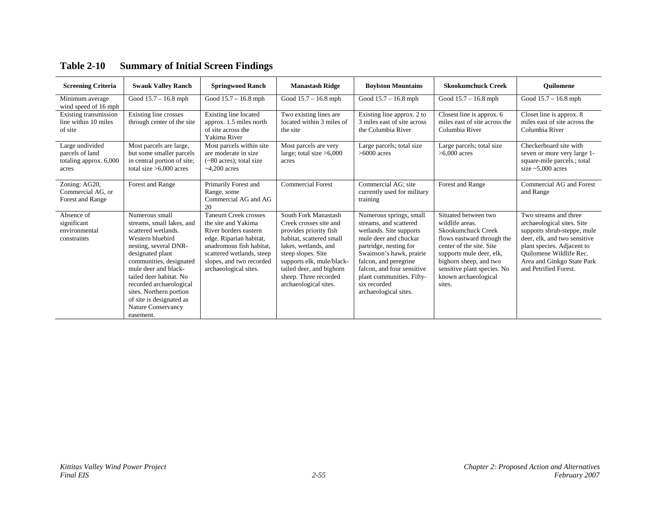| <b>Screening Criteria</b>                                             | <b>Swauk Valley Ranch</b>                                                                                                                                                                                                                                                                                                              | <b>Springwood Ranch</b>                                                                                                                                                                                       | <b>Manastash Ridge</b>                                                                                                                                                                                                                                        | <b>Boylston Mountains</b>                                                                                                                                                                                                                                                                | <b>Skookumchuck Creek</b>                                                                                                                                                                                                                      | <b>Ouilomene</b>                                                                                                                                                                                                                   |
|-----------------------------------------------------------------------|----------------------------------------------------------------------------------------------------------------------------------------------------------------------------------------------------------------------------------------------------------------------------------------------------------------------------------------|---------------------------------------------------------------------------------------------------------------------------------------------------------------------------------------------------------------|---------------------------------------------------------------------------------------------------------------------------------------------------------------------------------------------------------------------------------------------------------------|------------------------------------------------------------------------------------------------------------------------------------------------------------------------------------------------------------------------------------------------------------------------------------------|------------------------------------------------------------------------------------------------------------------------------------------------------------------------------------------------------------------------------------------------|------------------------------------------------------------------------------------------------------------------------------------------------------------------------------------------------------------------------------------|
| Minimum average<br>wind speed of 16 mph                               | Good $15.7 - 16.8$ mph                                                                                                                                                                                                                                                                                                                 | Good $15.7 - 16.8$ mph                                                                                                                                                                                        | Good 15.7 - 16.8 mph                                                                                                                                                                                                                                          | Good $15.7 - 16.8$ mph                                                                                                                                                                                                                                                                   | Good 15.7 - 16.8 mph                                                                                                                                                                                                                           | Good $15.7 - 16.8$ mph                                                                                                                                                                                                             |
| Existing transmission<br>line within 10 miles<br>of site              | Existing line crosses<br>through center of the site                                                                                                                                                                                                                                                                                    | Existing line located<br>approx. 1.5 miles north<br>of site across the<br>Yakima River                                                                                                                        | Two existing lines are<br>located within 3 miles of<br>the site                                                                                                                                                                                               | Existing line approx. 2 to<br>3 miles east of site across<br>the Columbia River                                                                                                                                                                                                          | Closest line is approx. 6<br>miles east of site across the<br>Columbia River                                                                                                                                                                   | Closet line is approx. 8<br>miles east of site across the<br>Columbia River                                                                                                                                                        |
| Large undivided<br>parcels of land<br>totaling approx. 6,000<br>acres | Most parcels are large,<br>but some smaller parcels<br>in central portion of site;<br>total size $>6,000$ acres                                                                                                                                                                                                                        | Most parcels within site<br>are moderate in size<br>$(-80 \text{ acres})$ ; total size<br>$~1$ -4.200 acres                                                                                                   | Most parcels are very<br>large; total size $>6,000$<br>acres                                                                                                                                                                                                  | Large parcels; total size<br>$>6000$ acres                                                                                                                                                                                                                                               | Large parcels; total size<br>$>6.000$ acres                                                                                                                                                                                                    | Checkerboard site with<br>seven or more very large 1-<br>square-mile parcels.; total<br>size $\approx$ 5,000 acres                                                                                                                 |
| Zoning: AG20,<br>Commercial AG, or<br>Forest and Range                | Forest and Range                                                                                                                                                                                                                                                                                                                       | Primarily Forest and<br>Range, some<br>Commercial AG and AG<br>20                                                                                                                                             | <b>Commercial Forest</b>                                                                                                                                                                                                                                      | Commercial AG: site<br>currently used for military<br>training                                                                                                                                                                                                                           | Forest and Range                                                                                                                                                                                                                               | Commercial AG and Forest<br>and Range                                                                                                                                                                                              |
| Absence of<br>significant<br>environmental<br>constraints             | Numerous small<br>streams, small lakes, and<br>scattered wetlands.<br>Western bluebird<br>nesting, several DNR-<br>designated plant<br>communities, designated<br>mule deer and black-<br>tailed deer habitat. No<br>recorded archaeological<br>sites. Northern portion<br>of site is designated as<br>Nature Conservancy<br>easement. | Taneum Creek crosses<br>the site and Yakima<br>River borders eastern<br>edge. Riparian habitat,<br>anadromous fish habitat.<br>scattered wetlands, steep<br>slopes, and two recorded<br>archaeological sites. | South Fork Manastash<br>Creek crosses site and<br>provides priority fish<br>habitat, scattered small<br>lakes, wetlands, and<br>steep slopes. Site<br>supports elk, mule/black-<br>tailed deer, and bighorn<br>sheep. Three recorded<br>archaeological sites. | Numerous springs, small<br>streams, and scattered<br>wetlands. Site supports<br>mule deer and chuckar<br>partridge, nesting for<br>Swainson's hawk, prairie<br>falcon, and peregrine<br>falcon, and four sensitive<br>plant communities. Fifty-<br>six recorded<br>archaeological sites. | Situated between two<br>wildlife areas.<br>Skookumchuck Creek<br>flows eastward through the<br>center of the site. Site<br>supports mule deer, elk,<br>bighorn sheep, and two<br>sensitive plant species. No<br>known archaeological<br>sites. | Two streams and three<br>archaeological sites. Site<br>supports shrub-steppe, mule<br>deer, elk, and two sensitive<br>plant species. Adjacent to<br>Quilomene Wildlife Rec.<br>Area and Ginkgo State Park<br>and Petrified Forest. |

# **Table 2-10 Summary of Initial Screen Findings**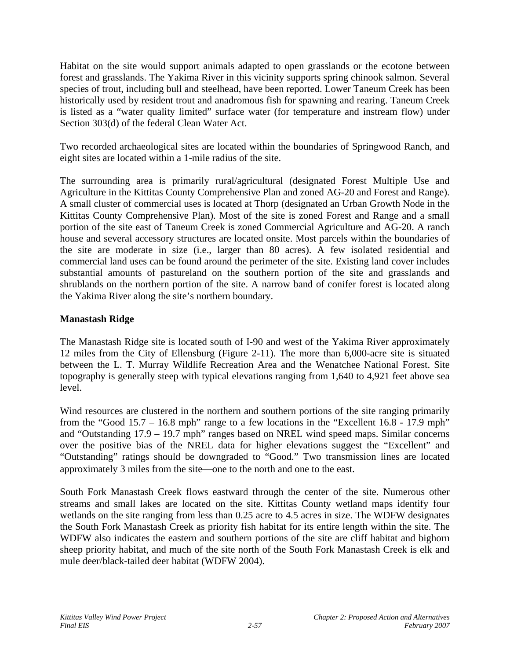Habitat on the site would support animals adapted to open grasslands or the ecotone between forest and grasslands. The Yakima River in this vicinity supports spring chinook salmon. Several species of trout, including bull and steelhead, have been reported. Lower Taneum Creek has been historically used by resident trout and anadromous fish for spawning and rearing. Taneum Creek is listed as a "water quality limited" surface water (for temperature and instream flow) under Section 303(d) of the federal Clean Water Act.

Two recorded archaeological sites are located within the boundaries of Springwood Ranch, and eight sites are located within a 1-mile radius of the site.

The surrounding area is primarily rural/agricultural (designated Forest Multiple Use and Agriculture in the Kittitas County Comprehensive Plan and zoned AG-20 and Forest and Range). A small cluster of commercial uses is located at Thorp (designated an Urban Growth Node in the Kittitas County Comprehensive Plan). Most of the site is zoned Forest and Range and a small portion of the site east of Taneum Creek is zoned Commercial Agriculture and AG-20. A ranch house and several accessory structures are located onsite. Most parcels within the boundaries of the site are moderate in size (i.e., larger than 80 acres). A few isolated residential and commercial land uses can be found around the perimeter of the site. Existing land cover includes substantial amounts of pastureland on the southern portion of the site and grasslands and shrublands on the northern portion of the site. A narrow band of conifer forest is located along the Yakima River along the site's northern boundary.

# **Manastash Ridge**

The Manastash Ridge site is located south of I-90 and west of the Yakima River approximately 12 miles from the City of Ellensburg (Figure 2-11). The more than 6,000-acre site is situated between the L. T. Murray Wildlife Recreation Area and the Wenatchee National Forest. Site topography is generally steep with typical elevations ranging from 1,640 to 4,921 feet above sea level.

Wind resources are clustered in the northern and southern portions of the site ranging primarily from the "Good  $15.7 - 16.8$  mph" range to a few locations in the "Excellent  $16.8 - 17.9$  mph" and "Outstanding 17.9 – 19.7 mph" ranges based on NREL wind speed maps. Similar concerns over the positive bias of the NREL data for higher elevations suggest the "Excellent" and "Outstanding" ratings should be downgraded to "Good." Two transmission lines are located approximately 3 miles from the site—one to the north and one to the east.

South Fork Manastash Creek flows eastward through the center of the site. Numerous other streams and small lakes are located on the site. Kittitas County wetland maps identify four wetlands on the site ranging from less than 0.25 acre to 4.5 acres in size. The WDFW designates the South Fork Manastash Creek as priority fish habitat for its entire length within the site. The WDFW also indicates the eastern and southern portions of the site are cliff habitat and bighorn sheep priority habitat, and much of the site north of the South Fork Manastash Creek is elk and mule deer/black-tailed deer habitat (WDFW 2004).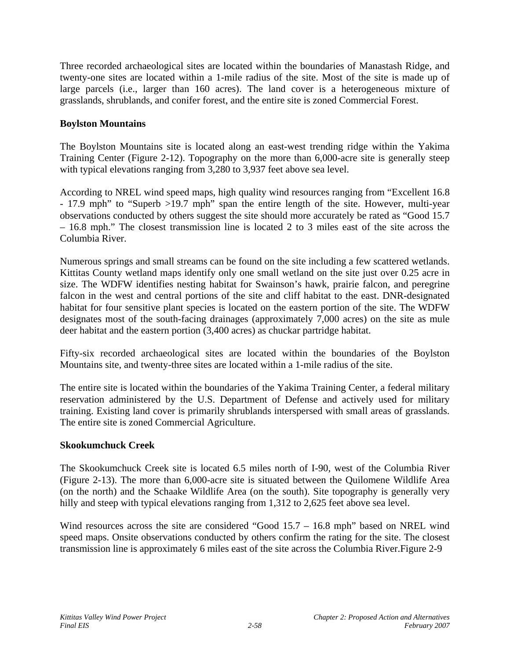Three recorded archaeological sites are located within the boundaries of Manastash Ridge, and twenty-one sites are located within a 1-mile radius of the site. Most of the site is made up of large parcels (i.e., larger than 160 acres). The land cover is a heterogeneous mixture of grasslands, shrublands, and conifer forest, and the entire site is zoned Commercial Forest.

### **Boylston Mountains**

The Boylston Mountains site is located along an east-west trending ridge within the Yakima Training Center (Figure 2-12). Topography on the more than 6,000-acre site is generally steep with typical elevations ranging from 3,280 to 3,937 feet above sea level.

According to NREL wind speed maps, high quality wind resources ranging from "Excellent 16.8 - 17.9 mph" to "Superb >19.7 mph" span the entire length of the site. However, multi-year observations conducted by others suggest the site should more accurately be rated as "Good 15.7 – 16.8 mph." The closest transmission line is located 2 to 3 miles east of the site across the Columbia River.

Numerous springs and small streams can be found on the site including a few scattered wetlands. Kittitas County wetland maps identify only one small wetland on the site just over 0.25 acre in size. The WDFW identifies nesting habitat for Swainson's hawk, prairie falcon, and peregrine falcon in the west and central portions of the site and cliff habitat to the east. DNR-designated habitat for four sensitive plant species is located on the eastern portion of the site. The WDFW designates most of the south-facing drainages (approximately 7,000 acres) on the site as mule deer habitat and the eastern portion (3,400 acres) as chuckar partridge habitat.

Fifty-six recorded archaeological sites are located within the boundaries of the Boylston Mountains site, and twenty-three sites are located within a 1-mile radius of the site.

The entire site is located within the boundaries of the Yakima Training Center, a federal military reservation administered by the U.S. Department of Defense and actively used for military training. Existing land cover is primarily shrublands interspersed with small areas of grasslands. The entire site is zoned Commercial Agriculture.

### **Skookumchuck Creek**

The Skookumchuck Creek site is located 6.5 miles north of I-90, west of the Columbia River (Figure 2-13). The more than 6,000-acre site is situated between the Quilomene Wildlife Area (on the north) and the Schaake Wildlife Area (on the south). Site topography is generally very hilly and steep with typical elevations ranging from 1,312 to 2,625 feet above sea level.

Wind resources across the site are considered "Good 15.7 – 16.8 mph" based on NREL wind speed maps. Onsite observations conducted by others confirm the rating for the site. The closest transmission line is approximately 6 miles east of the site across the Columbia River.Figure 2-9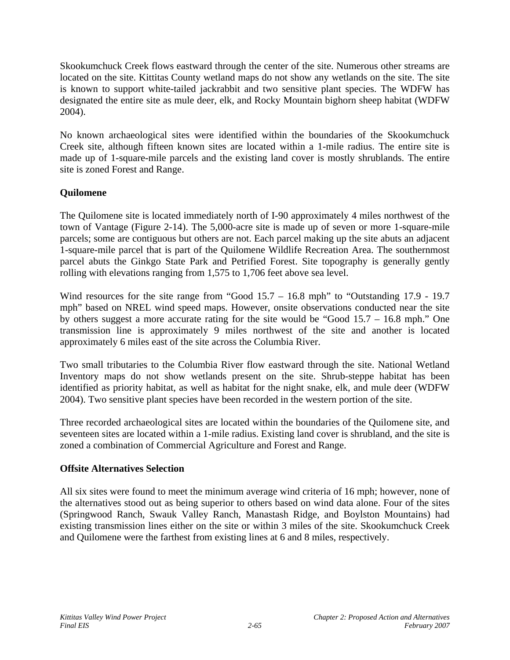Skookumchuck Creek flows eastward through the center of the site. Numerous other streams are located on the site. Kittitas County wetland maps do not show any wetlands on the site. The site is known to support white-tailed jackrabbit and two sensitive plant species. The WDFW has designated the entire site as mule deer, elk, and Rocky Mountain bighorn sheep habitat (WDFW 2004).

No known archaeological sites were identified within the boundaries of the Skookumchuck Creek site, although fifteen known sites are located within a 1-mile radius. The entire site is made up of 1-square-mile parcels and the existing land cover is mostly shrublands. The entire site is zoned Forest and Range.

# **Quilomene**

The Quilomene site is located immediately north of I-90 approximately 4 miles northwest of the town of Vantage (Figure 2-14). The 5,000-acre site is made up of seven or more 1-square-mile parcels; some are contiguous but others are not. Each parcel making up the site abuts an adjacent 1-square-mile parcel that is part of the Quilomene Wildlife Recreation Area. The southernmost parcel abuts the Ginkgo State Park and Petrified Forest. Site topography is generally gently rolling with elevations ranging from 1,575 to 1,706 feet above sea level.

Wind resources for the site range from "Good 15.7 – 16.8 mph" to "Outstanding 17.9 - 19.7 mph" based on NREL wind speed maps. However, onsite observations conducted near the site by others suggest a more accurate rating for the site would be "Good 15.7 – 16.8 mph." One transmission line is approximately 9 miles northwest of the site and another is located approximately 6 miles east of the site across the Columbia River.

Two small tributaries to the Columbia River flow eastward through the site. National Wetland Inventory maps do not show wetlands present on the site. Shrub-steppe habitat has been identified as priority habitat, as well as habitat for the night snake, elk, and mule deer (WDFW 2004). Two sensitive plant species have been recorded in the western portion of the site.

Three recorded archaeological sites are located within the boundaries of the Quilomene site, and seventeen sites are located within a 1-mile radius. Existing land cover is shrubland, and the site is zoned a combination of Commercial Agriculture and Forest and Range.

### **Offsite Alternatives Selection**

All six sites were found to meet the minimum average wind criteria of 16 mph; however, none of the alternatives stood out as being superior to others based on wind data alone. Four of the sites (Springwood Ranch, Swauk Valley Ranch, Manastash Ridge, and Boylston Mountains) had existing transmission lines either on the site or within 3 miles of the site. Skookumchuck Creek and Quilomene were the farthest from existing lines at 6 and 8 miles, respectively.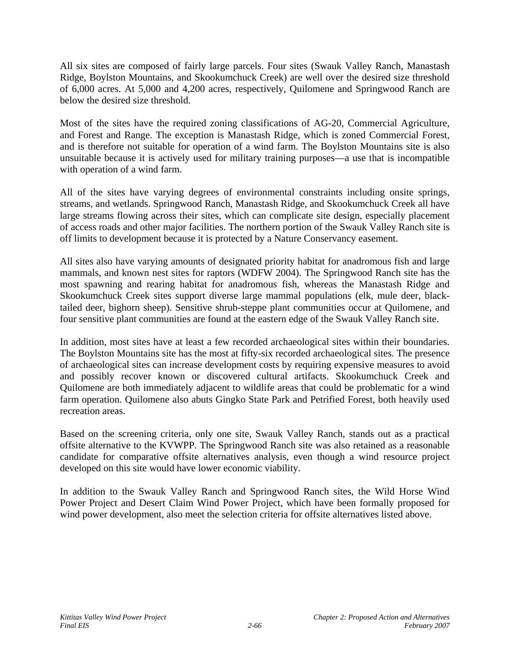All six sites are composed of fairly large parcels. Four sites (Swauk Valley Ranch, Manastash Ridge, Boylston Mountains, and Skookumchuck Creek) are well over the desired size threshold of 6,000 acres. At 5,000 and 4,200 acres, respectively, Quilomene and Springwood Ranch are below the desired size threshold.

Most of the sites have the required zoning classifications of AG-20, Commercial Agriculture, and Forest and Range. The exception is Manastash Ridge, which is zoned Commercial Forest, and is therefore not suitable for operation of a wind farm. The Boylston Mountains site is also unsuitable because it is actively used for military training purposes—a use that is incompatible with operation of a wind farm.

All of the sites have varying degrees of environmental constraints including onsite springs, streams, and wetlands. Springwood Ranch, Manastash Ridge, and Skookumchuck Creek all have large streams flowing across their sites, which can complicate site design, especially placement of access roads and other major facilities. The northern portion of the Swauk Valley Ranch site is off limits to development because it is protected by a Nature Conservancy easement.

All sites also have varying amounts of designated priority habitat for anadromous fish and large mammals, and known nest sites for raptors (WDFW 2004). The Springwood Ranch site has the most spawning and rearing habitat for anadromous fish, whereas the Manastash Ridge and Skookumchuck Creek sites support diverse large mammal populations (elk, mule deer, blacktailed deer, bighorn sheep). Sensitive shrub-steppe plant communities occur at Quilomene, and four sensitive plant communities are found at the eastern edge of the Swauk Valley Ranch site.

In addition, most sites have at least a few recorded archaeological sites within their boundaries. The Boylston Mountains site has the most at fifty-six recorded archaeological sites. The presence of archaeological sites can increase development costs by requiring expensive measures to avoid and possibly recover known or discovered cultural artifacts. Skookumchuck Creek and Quilomene are both immediately adjacent to wildlife areas that could be problematic for a wind farm operation. Quilomene also abuts Gingko State Park and Petrified Forest, both heavily used recreation areas.

Based on the screening criteria, only one site, Swauk Valley Ranch, stands out as a practical offsite alternative to the KVWPP. The Springwood Ranch site was also retained as a reasonable candidate for comparative offsite alternatives analysis, even though a wind resource project developed on this site would have lower economic viability.

In addition to the Swauk Valley Ranch and Springwood Ranch sites, the Wild Horse Wind Power Project and Desert Claim Wind Power Project, which have been formally proposed for wind power development, also meet the selection criteria for offsite alternatives listed above.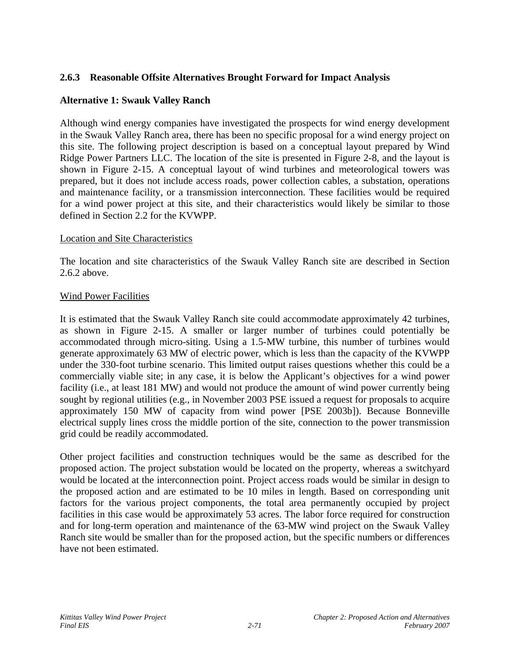## **2.6.3 Reasonable Offsite Alternatives Brought Forward for Impact Analysis**

#### **Alternative 1: Swauk Valley Ranch**

Although wind energy companies have investigated the prospects for wind energy development in the Swauk Valley Ranch area, there has been no specific proposal for a wind energy project on this site. The following project description is based on a conceptual layout prepared by Wind Ridge Power Partners LLC. The location of the site is presented in Figure 2-8, and the layout is shown in Figure 2-15. A conceptual layout of wind turbines and meteorological towers was prepared, but it does not include access roads, power collection cables, a substation, operations and maintenance facility, or a transmission interconnection. These facilities would be required for a wind power project at this site, and their characteristics would likely be similar to those defined in Section 2.2 for the KVWPP.

#### Location and Site Characteristics

The location and site characteristics of the Swauk Valley Ranch site are described in Section 2.6.2 above.

#### Wind Power Facilities

It is estimated that the Swauk Valley Ranch site could accommodate approximately 42 turbines, as shown in Figure 2-15. A smaller or larger number of turbines could potentially be accommodated through micro-siting. Using a 1.5-MW turbine, this number of turbines would generate approximately 63 MW of electric power, which is less than the capacity of the KVWPP under the 330-foot turbine scenario. This limited output raises questions whether this could be a commercially viable site; in any case, it is below the Applicant's objectives for a wind power facility (i.e., at least 181 MW) and would not produce the amount of wind power currently being sought by regional utilities (e.g., in November 2003 PSE issued a request for proposals to acquire approximately 150 MW of capacity from wind power [PSE 2003b]). Because Bonneville electrical supply lines cross the middle portion of the site, connection to the power transmission grid could be readily accommodated.

Other project facilities and construction techniques would be the same as described for the proposed action. The project substation would be located on the property, whereas a switchyard would be located at the interconnection point. Project access roads would be similar in design to the proposed action and are estimated to be 10 miles in length. Based on corresponding unit factors for the various project components, the total area permanently occupied by project facilities in this case would be approximately 53 acres. The labor force required for construction and for long-term operation and maintenance of the 63-MW wind project on the Swauk Valley Ranch site would be smaller than for the proposed action, but the specific numbers or differences have not been estimated.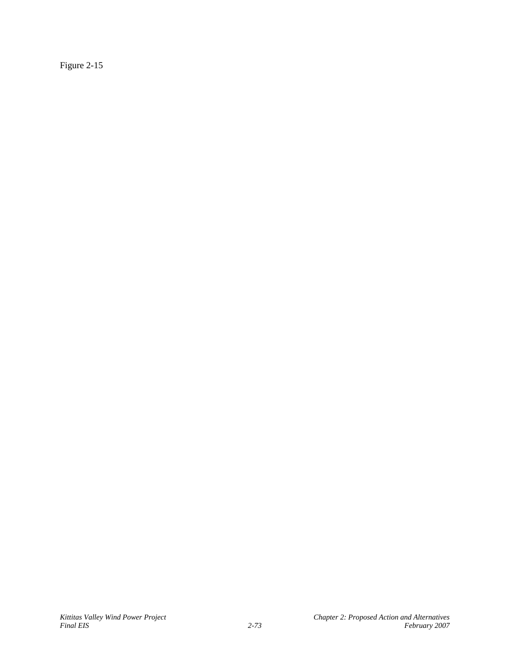Figure 2-15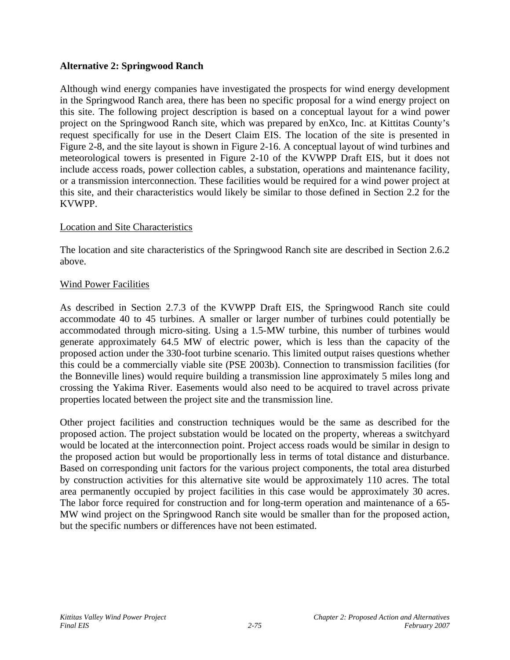## **Alternative 2: Springwood Ranch**

Although wind energy companies have investigated the prospects for wind energy development in the Springwood Ranch area, there has been no specific proposal for a wind energy project on this site. The following project description is based on a conceptual layout for a wind power project on the Springwood Ranch site, which was prepared by enXco, Inc. at Kittitas County's request specifically for use in the Desert Claim EIS. The location of the site is presented in Figure 2-8, and the site layout is shown in Figure 2-16. A conceptual layout of wind turbines and meteorological towers is presented in Figure 2-10 of the KVWPP Draft EIS, but it does not include access roads, power collection cables, a substation, operations and maintenance facility, or a transmission interconnection. These facilities would be required for a wind power project at this site, and their characteristics would likely be similar to those defined in Section 2.2 for the KVWPP.

### Location and Site Characteristics

The location and site characteristics of the Springwood Ranch site are described in Section 2.6.2 above.

### Wind Power Facilities

As described in Section 2.7.3 of the KVWPP Draft EIS, the Springwood Ranch site could accommodate 40 to 45 turbines. A smaller or larger number of turbines could potentially be accommodated through micro-siting. Using a 1.5-MW turbine, this number of turbines would generate approximately 64.5 MW of electric power, which is less than the capacity of the proposed action under the 330-foot turbine scenario. This limited output raises questions whether this could be a commercially viable site (PSE 2003b). Connection to transmission facilities (for the Bonneville lines) would require building a transmission line approximately 5 miles long and crossing the Yakima River. Easements would also need to be acquired to travel across private properties located between the project site and the transmission line.

Other project facilities and construction techniques would be the same as described for the proposed action. The project substation would be located on the property, whereas a switchyard would be located at the interconnection point. Project access roads would be similar in design to the proposed action but would be proportionally less in terms of total distance and disturbance. Based on corresponding unit factors for the various project components, the total area disturbed by construction activities for this alternative site would be approximately 110 acres. The total area permanently occupied by project facilities in this case would be approximately 30 acres. The labor force required for construction and for long-term operation and maintenance of a 65- MW wind project on the Springwood Ranch site would be smaller than for the proposed action, but the specific numbers or differences have not been estimated.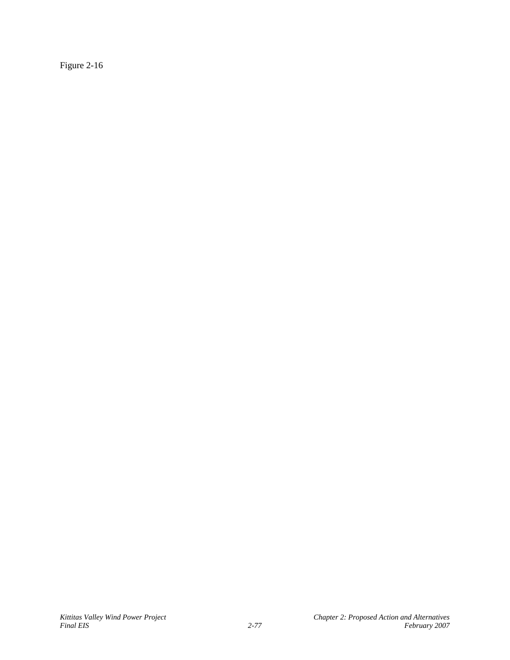Figure 2-16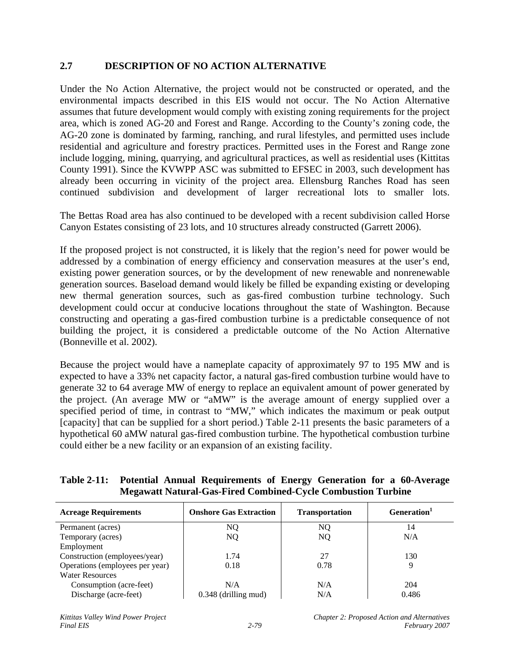# **2.7 DESCRIPTION OF NO ACTION ALTERNATIVE**

Under the No Action Alternative, the project would not be constructed or operated, and the environmental impacts described in this EIS would not occur. The No Action Alternative assumes that future development would comply with existing zoning requirements for the project area, which is zoned AG-20 and Forest and Range. According to the County's zoning code, the AG-20 zone is dominated by farming, ranching, and rural lifestyles, and permitted uses include residential and agriculture and forestry practices. Permitted uses in the Forest and Range zone include logging, mining, quarrying, and agricultural practices, as well as residential uses (Kittitas County 1991). Since the KVWPP ASC was submitted to EFSEC in 2003, such development has already been occurring in vicinity of the project area. Ellensburg Ranches Road has seen continued subdivision and development of larger recreational lots to smaller lots.

The Bettas Road area has also continued to be developed with a recent subdivision called Horse Canyon Estates consisting of 23 lots, and 10 structures already constructed (Garrett 2006).

If the proposed project is not constructed, it is likely that the region's need for power would be addressed by a combination of energy efficiency and conservation measures at the user's end, existing power generation sources, or by the development of new renewable and nonrenewable generation sources. Baseload demand would likely be filled be expanding existing or developing new thermal generation sources, such as gas-fired combustion turbine technology. Such development could occur at conducive locations throughout the state of Washington. Because constructing and operating a gas-fired combustion turbine is a predictable consequence of not building the project, it is considered a predictable outcome of the No Action Alternative (Bonneville et al. 2002).

Because the project would have a nameplate capacity of approximately 97 to 195 MW and is expected to have a 33% net capacity factor, a natural gas-fired combustion turbine would have to generate 32 to 64 average MW of energy to replace an equivalent amount of power generated by the project. (An average MW or "aMW" is the average amount of energy supplied over a specified period of time, in contrast to "MW," which indicates the maximum or peak output [capacity] that can be supplied for a short period.) Table 2-11 presents the basic parameters of a hypothetical 60 aMW natural gas-fired combustion turbine. The hypothetical combustion turbine could either be a new facility or an expansion of an existing facility.

# **Table 2-11: Potential Annual Requirements of Energy Generation for a 60-Average Megawatt Natural-Gas-Fired Combined-Cycle Combustion Turbine**

| <b>Acreage Requirements</b>     | <b>Onshore Gas Extraction</b> | <b>Transportation</b> | Generation <sup>1</sup> |
|---------------------------------|-------------------------------|-----------------------|-------------------------|
| Permanent (acres)               | NO                            | NQ                    | 14                      |
| Temporary (acres)               | NQ                            | NQ                    | N/A                     |
| Employment                      |                               |                       |                         |
| Construction (employees/year)   | 1.74                          | 27                    | 130                     |
| Operations (employees per year) | 0.18                          | 0.78                  | 9                       |
| <b>Water Resources</b>          |                               |                       |                         |
| Consumption (acre-feet)         | N/A                           | N/A                   | 204                     |
| Discharge (acre-feet)           | $0.348$ (drilling mud)        | N/A                   | 0.486                   |